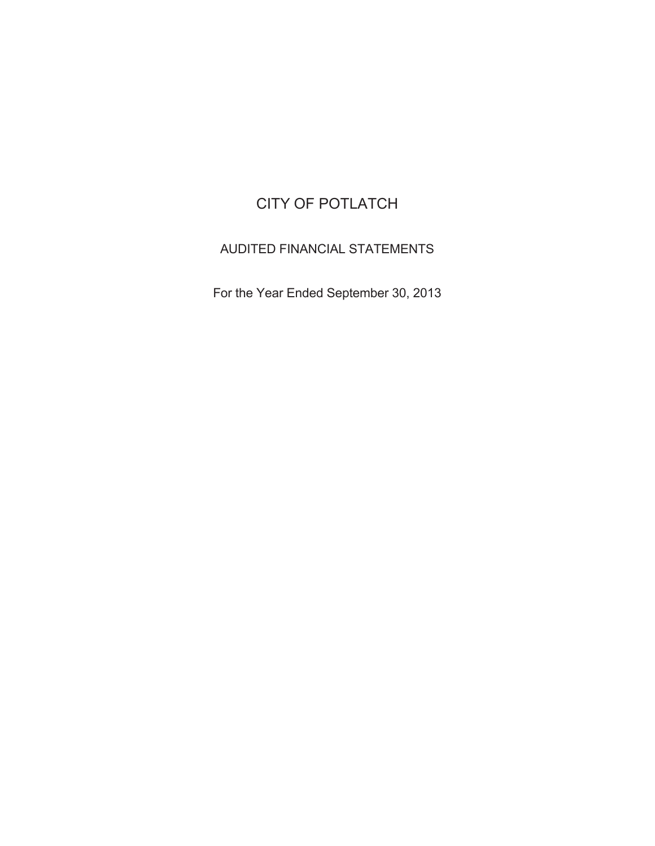#### AUDITED FINANCIAL STATEMENTS

For the Year Ended September 30, 2013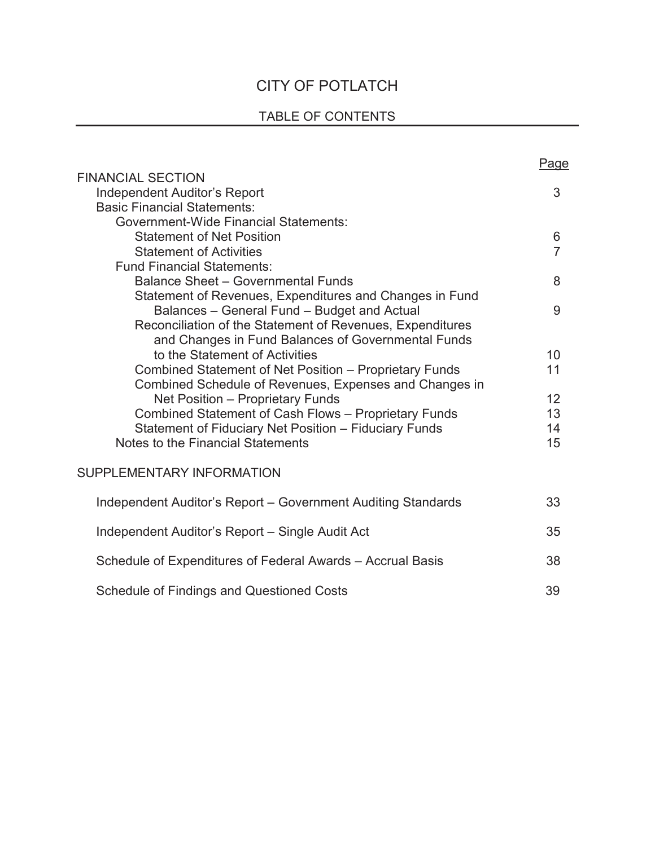#### TABLE OF CONTENTS

| <b>FINANCIAL SECTION</b>                                                                                                                                                                                                  | Page                |
|---------------------------------------------------------------------------------------------------------------------------------------------------------------------------------------------------------------------------|---------------------|
| <b>Independent Auditor's Report</b><br><b>Basic Financial Statements:</b>                                                                                                                                                 | 3                   |
| <b>Government-Wide Financial Statements:</b><br><b>Statement of Net Position</b><br><b>Statement of Activities</b><br><b>Fund Financial Statements:</b>                                                                   | 6<br>$\overline{7}$ |
| <b>Balance Sheet - Governmental Funds</b>                                                                                                                                                                                 | 8                   |
| Statement of Revenues, Expenditures and Changes in Fund<br>Balances - General Fund - Budget and Actual<br>Reconciliation of the Statement of Revenues, Expenditures<br>and Changes in Fund Balances of Governmental Funds | 9                   |
| to the Statement of Activities                                                                                                                                                                                            | 10                  |
| Combined Statement of Net Position - Proprietary Funds<br>Combined Schedule of Revenues, Expenses and Changes in                                                                                                          | 11                  |
| Net Position - Proprietary Funds                                                                                                                                                                                          | 12                  |
| Combined Statement of Cash Flows - Proprietary Funds                                                                                                                                                                      | 13                  |
| Statement of Fiduciary Net Position - Fiduciary Funds                                                                                                                                                                     | 14                  |
| Notes to the Financial Statements                                                                                                                                                                                         | 15                  |
| SUPPLEMENTARY INFORMATION                                                                                                                                                                                                 |                     |
| Independent Auditor's Report - Government Auditing Standards                                                                                                                                                              | 33                  |
| Independent Auditor's Report – Single Audit Act                                                                                                                                                                           | 35                  |
| Schedule of Expenditures of Federal Awards - Accrual Basis                                                                                                                                                                | 38                  |
| <b>Schedule of Findings and Questioned Costs</b>                                                                                                                                                                          | 39                  |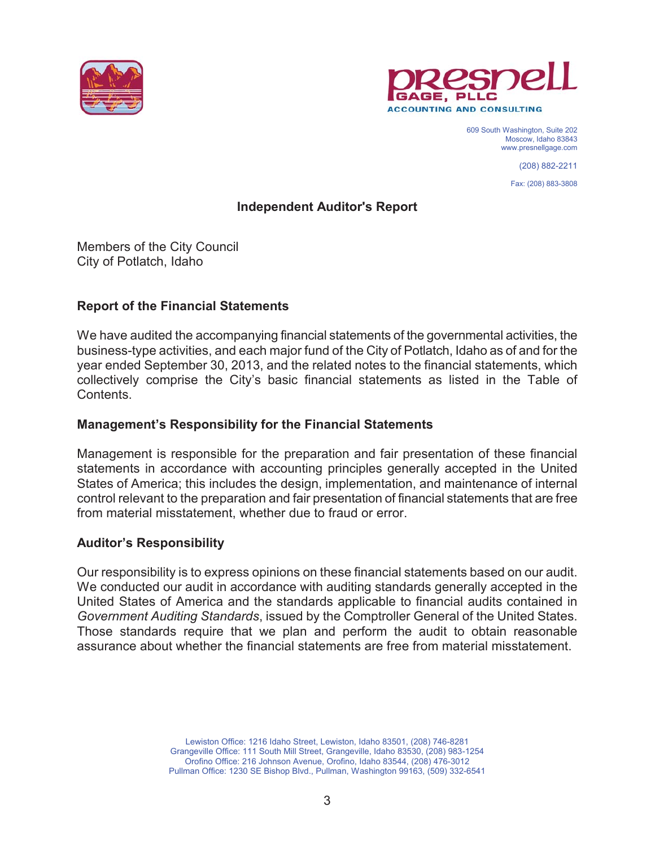



609 South Washington, Suite 202 Moscow, Idaho 83843 www.presnellgage.com

(208) 882-2211

Fax: (208) 883-3808

#### **Independent Auditor's Report**

Members of the City Council City of Potlatch, Idaho

#### **Report of the Financial Statements**

We have audited the accompanying financial statements of the governmental activities, the business-type activities, and each major fund of the City of Potlatch, Idaho as of and for the year ended September 30, 2013, and the related notes to the financial statements, which collectively comprise the City's basic financial statements as listed in the Table of Contents.

#### **Management's Responsibility for the Financial Statements**

Management is responsible for the preparation and fair presentation of these financial statements in accordance with accounting principles generally accepted in the United States of America; this includes the design, implementation, and maintenance of internal control relevant to the preparation and fair presentation of financial statements that are free from material misstatement, whether due to fraud or error.

#### **Auditor's Responsibility**

Our responsibility is to express opinions on these financial statements based on our audit. We conducted our audit in accordance with auditing standards generally accepted in the United States of America and the standards applicable to financial audits contained in *Government Auditing Standards*, issued by the Comptroller General of the United States. Those standards require that we plan and perform the audit to obtain reasonable assurance about whether the financial statements are free from material misstatement.

> Lewiston Office: 1216 Idaho Street, Lewiston, Idaho 83501, (208) 746-8281 Grangeville Office: 111 South Mill Street, Grangeville, Idaho 83530, (208) 983-1254 Orofino Office: 216 Johnson Avenue, Orofino, Idaho 83544, (208) 476-3012 Pullman Office: 1230 SE Bishop Blvd., Pullman, Washington 99163, (509) 332-6541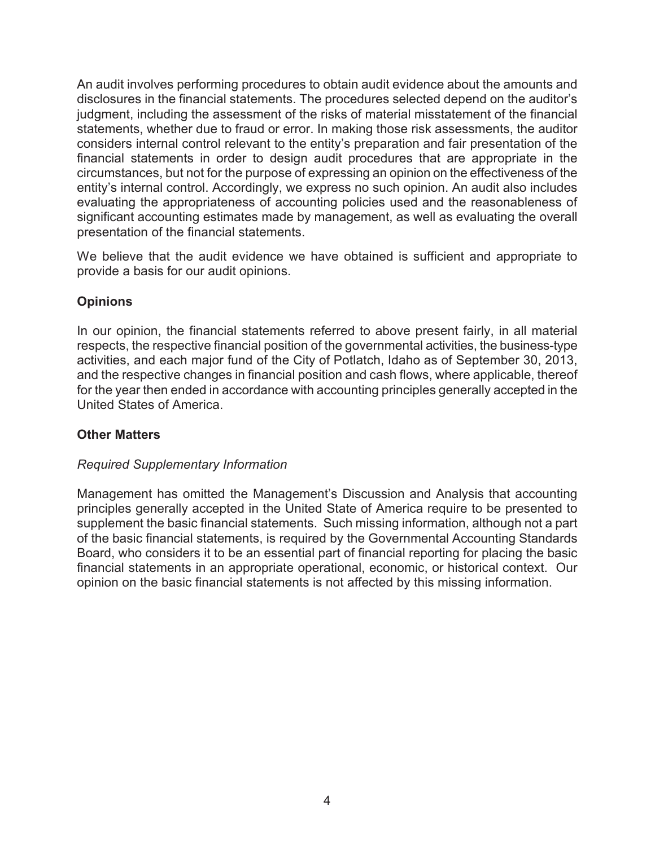An audit involves performing procedures to obtain audit evidence about the amounts and disclosures in the financial statements. The procedures selected depend on the auditor's judgment, including the assessment of the risks of material misstatement of the financial statements, whether due to fraud or error. In making those risk assessments, the auditor considers internal control relevant to the entity's preparation and fair presentation of the financial statements in order to design audit procedures that are appropriate in the circumstances, but not for the purpose of expressing an opinion on the effectiveness of the entity's internal control. Accordingly, we express no such opinion. An audit also includes evaluating the appropriateness of accounting policies used and the reasonableness of significant accounting estimates made by management, as well as evaluating the overall presentation of the financial statements.

We believe that the audit evidence we have obtained is sufficient and appropriate to provide a basis for our audit opinions.

#### **Opinions**

In our opinion, the financial statements referred to above present fairly, in all material respects, the respective financial position of the governmental activities, the business-type activities, and each major fund of the City of Potlatch, Idaho as of September 30, 2013, and the respective changes in financial position and cash flows, where applicable, thereof for the year then ended in accordance with accounting principles generally accepted in the United States of America.

#### **Other Matters**

#### *Required Supplementary Information*

Management has omitted the Management's Discussion and Analysis that accounting principles generally accepted in the United State of America require to be presented to supplement the basic financial statements. Such missing information, although not a part of the basic financial statements, is required by the Governmental Accounting Standards Board, who considers it to be an essential part of financial reporting for placing the basic financial statements in an appropriate operational, economic, or historical context. Our opinion on the basic financial statements is not affected by this missing information.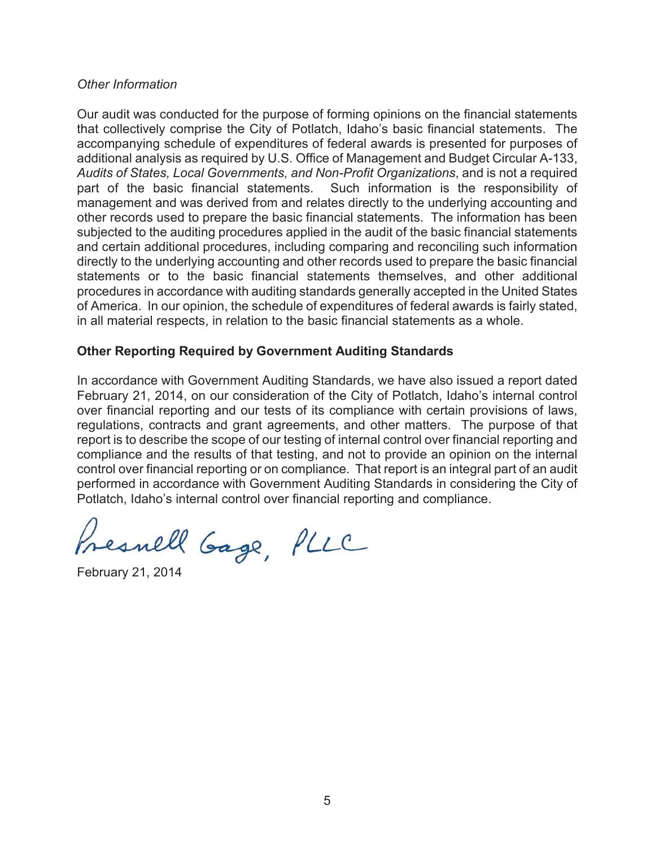#### *Other Information*

Our audit was conducted for the purpose of forming opinions on the financial statements that collectively comprise the City of Potlatch, Idaho's basic financial statements. The accompanying schedule of expenditures of federal awards is presented for purposes of additional analysis as required by U.S. Office of Management and Budget Circular A-133, *Audits of States, Local Governments, and Non-Profit Organizations*, and is not a required part of the basic financial statements. Such information is the responsibility of management and was derived from and relates directly to the underlying accounting and other records used to prepare the basic financial statements. The information has been subjected to the auditing procedures applied in the audit of the basic financial statements and certain additional procedures, including comparing and reconciling such information directly to the underlying accounting and other records used to prepare the basic financial statements or to the basic financial statements themselves, and other additional procedures in accordance with auditing standards generally accepted in the United States of America. In our opinion, the schedule of expenditures of federal awards is fairly stated, in all material respects, in relation to the basic financial statements as a whole.

#### **Other Reporting Required by Government Auditing Standards**

In accordance with Government Auditing Standards, we have also issued a report dated February 21, 2014, on our consideration of the City of Potlatch, Idaho's internal control over financial reporting and our tests of its compliance with certain provisions of laws, regulations, contracts and grant agreements, and other matters. The purpose of that report is to describe the scope of our testing of internal control over financial reporting and compliance and the results of that testing, and not to provide an opinion on the internal control over financial reporting or on compliance. That report is an integral part of an audit performed in accordance with Government Auditing Standards in considering the City of Potlatch, Idaho's internal control over financial reporting and compliance.

Presnell Gage, PLLC

February 21, 2014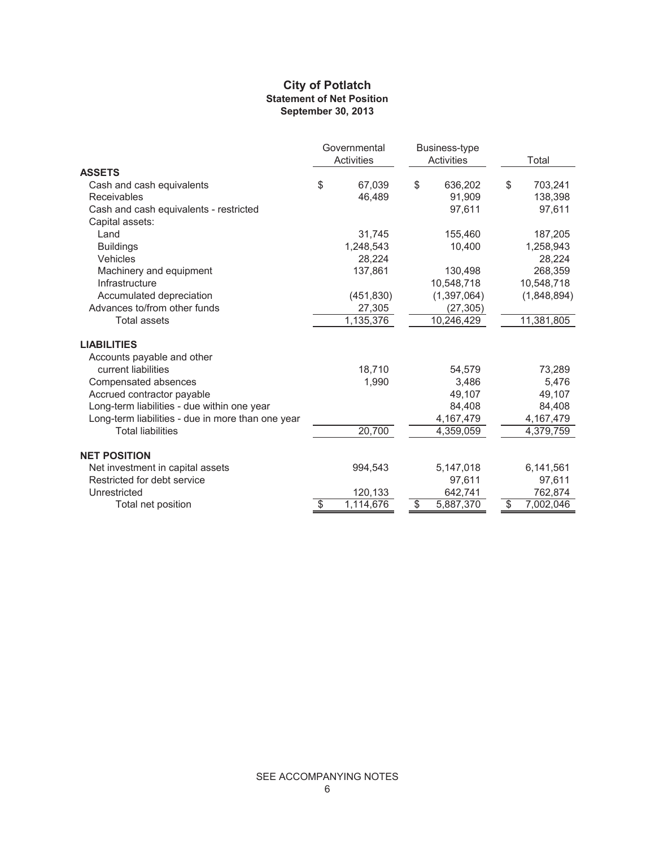#### **City of Potlatch Statement of Net Position September 30, 2013**

|                                                   |               | Governmental<br><b>Activities</b> | Business-type<br><b>Activities</b> | Total           |
|---------------------------------------------------|---------------|-----------------------------------|------------------------------------|-----------------|
| <b>ASSETS</b>                                     |               |                                   |                                    |                 |
| Cash and cash equivalents                         | \$            | 67,039                            | \$<br>636,202                      | \$<br>703,241   |
| Receivables                                       |               | 46,489                            | 91.909                             | 138,398         |
| Cash and cash equivalents - restricted            |               |                                   | 97.611                             | 97.611          |
| Capital assets:                                   |               |                                   |                                    |                 |
| Land                                              |               | 31,745                            | 155,460                            | 187,205         |
| <b>Buildings</b>                                  |               | 1,248,543                         | 10,400                             | 1,258,943       |
| Vehicles                                          |               | 28,224                            |                                    | 28,224          |
| Machinery and equipment                           |               | 137,861                           | 130,498                            | 268,359         |
| Infrastructure                                    |               |                                   | 10,548,718                         | 10,548,718      |
| Accumulated depreciation                          |               | (451, 830)                        | (1, 397, 064)                      | (1,848,894)     |
| Advances to/from other funds                      |               | 27,305                            | (27, 305)                          |                 |
| <b>Total assets</b>                               |               | 1,135,376                         | 10,246,429                         | 11,381,805      |
| <b>LIABILITIES</b>                                |               |                                   |                                    |                 |
| Accounts payable and other                        |               |                                   |                                    |                 |
| current liabilities                               |               | 18,710                            | 54,579                             | 73,289          |
| Compensated absences                              |               | 1,990                             | 3,486                              | 5,476           |
| Accrued contractor payable                        |               |                                   | 49,107                             | 49,107          |
| Long-term liabilities - due within one year       |               |                                   | 84,408                             | 84,408          |
| Long-term liabilities - due in more than one year |               |                                   | 4,167,479                          | 4,167,479       |
| <b>Total liabilities</b>                          |               | 20,700                            | 4,359,059                          | 4,379,759       |
| <b>NET POSITION</b>                               |               |                                   |                                    |                 |
| Net investment in capital assets                  |               | 994,543                           | 5,147,018                          | 6,141,561       |
| Restricted for debt service                       |               |                                   | 97,611                             | 97,611          |
| Unrestricted                                      |               | 120,133                           | 642,741                            | 762,874         |
| Total net position                                | $\frac{1}{2}$ | 1,114,676                         | \$<br>5,887,370                    | \$<br>7,002,046 |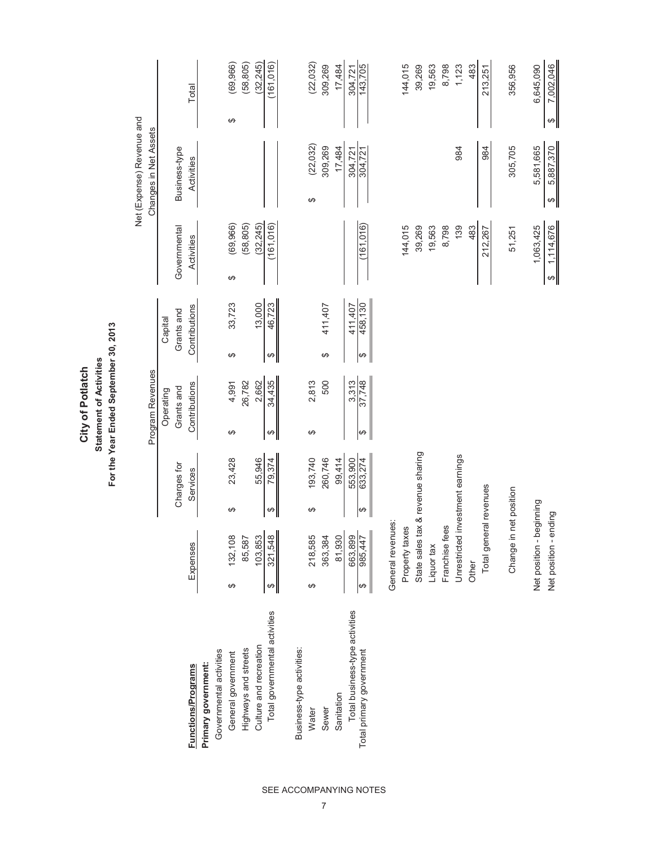|                                |                                   |              |             |   |                  |   |               |   |              | Net (Expense) Revenue and |   |            |
|--------------------------------|-----------------------------------|--------------|-------------|---|------------------|---|---------------|---|--------------|---------------------------|---|------------|
|                                |                                   |              |             |   | Program Revenues |   |               |   |              | Changes in Net Assets     |   |            |
|                                |                                   |              |             |   | Operating        |   | Capital       |   |              |                           |   |            |
|                                |                                   |              | Charges for |   | Grants and       |   | Grants and    |   | Governmental | Business-type             |   |            |
| Functions/Programs             | Expenses                          |              | Services    |   | Contributions    |   | Contributions |   | Activities   | Activities                |   | Total      |
| Primary government:            |                                   |              |             |   |                  |   |               |   |              |                           |   |            |
| Governmental activities        |                                   |              |             |   |                  |   |               |   |              |                           |   |            |
| General government             | 132,108<br>↮                      | ↮            | 23,428      | ↮ | 4,991            | ↮ | 33,723        | ↮ | (69, 966)    |                           | ↮ | (69, 966)  |
| Highways and streets           | 85,587                            |              |             |   | 26,782           |   |               |   | (58, 805)    |                           |   | (58, 805)  |
| Culture and recreation         | 103,853                           |              | 55,946      |   | 2,662            |   | 13,000        |   | (32, 245)    |                           |   | (32, 245)  |
| Total governmental activities  | 321,548<br>↮                      | ↮            | 79,374      | ↮ | 34,435           | ↮ | 46,723        |   | (161, 016)   |                           |   | (161, 016) |
| Business-type activities:      |                                   |              |             |   |                  |   |               |   |              |                           |   |            |
| Water                          | 218,585<br>↮                      | ↮            | 193,740     | ↔ | 2,813            |   |               |   |              | (22, 032)<br>↮            |   | (22, 032)  |
| Sewer                          | 363,384                           |              | 260,746     |   | 500              | ↮ | 411,407       |   |              | 309,269                   |   | 309,269    |
| Sanitation                     | 81,930                            |              | 99,414      |   |                  |   |               |   |              | 17,484                    |   | 17,484     |
| Total business-type activities | 663,899                           |              | 553,900     |   | 3,313            |   | 411,407       |   |              | 304,721                   |   | 304,721    |
| Total primary government       | 985,447                           | ക            | 633,274     | ↮ | 37,748           | ↮ | 458,130       |   | 161,016      | 304,721                   |   | 143,705    |
|                                |                                   |              |             |   |                  |   |               |   |              |                           |   |            |
|                                | General revenues:                 |              |             |   |                  |   |               |   |              |                           |   |            |
|                                | Property taxes                    |              |             |   |                  |   |               |   | 144,015      |                           |   | 144,015    |
|                                | State sales tax & revenue sharing |              |             |   |                  |   |               |   | 39,269       |                           |   | 39,269     |
|                                | Liquor tax                        |              |             |   |                  |   |               |   | 19,563       |                           |   | 19,563     |
|                                | Franchise fees                    |              |             |   |                  |   |               |   | 8,798        |                           |   | 8,798      |
|                                | Unrestricted investment earnings  |              |             |   |                  |   |               |   | 139          | 984                       |   | 1,123      |
|                                | Other                             |              |             |   |                  |   |               |   | 483          |                           |   | 483        |
|                                | Total general revenues            |              |             |   |                  |   |               |   | 212,267      | 984                       |   | 213,251    |
|                                | Change in r                       | net position |             |   |                  |   |               |   | 51,251       | 305,705                   |   | 356,956    |
|                                |                                   |              |             |   |                  |   |               |   |              |                           |   |            |
|                                | Net position - beginning          |              |             |   |                  |   |               |   | 1,063,425    | 5,581,665                 |   | 6,645,090  |
|                                | Net position - ending             |              |             |   |                  |   |               | ↮ | 1,114,676    | 5,887,370<br>↮            | ↮ | 7,002,046  |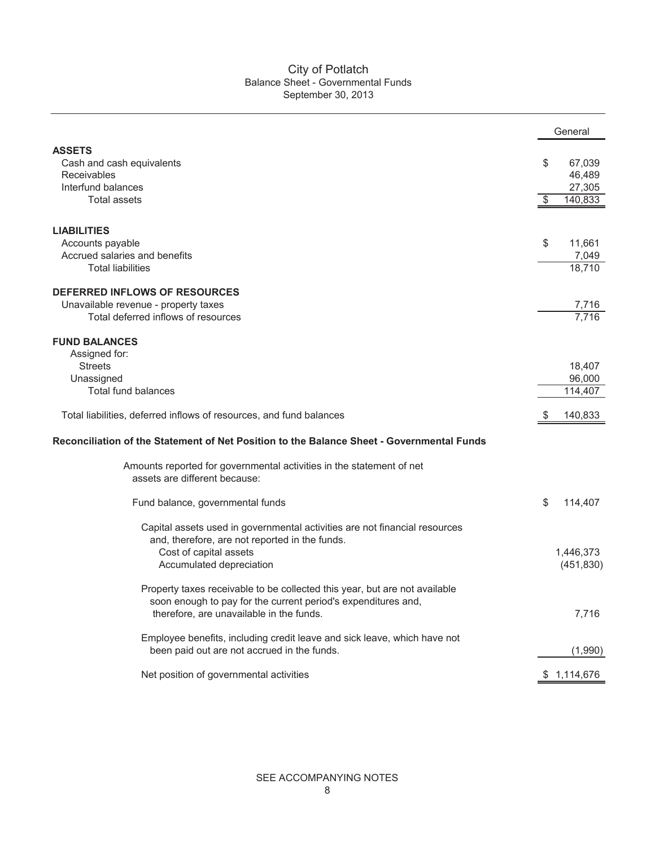#### City of Potlatch Balance Sheet - Governmental Funds September 30, 2013

|                                                                                                                                                                                         | General                                     |
|-----------------------------------------------------------------------------------------------------------------------------------------------------------------------------------------|---------------------------------------------|
| <b>ASSETS</b><br>Cash and cash equivalents<br>Receivables<br>Interfund balances<br><b>Total assets</b>                                                                                  | \$<br>67,039<br>46,489<br>27,305<br>140,833 |
|                                                                                                                                                                                         | \$                                          |
| <b>LIABILITIES</b><br>Accounts payable<br>Accrued salaries and benefits<br><b>Total liabilities</b>                                                                                     | \$<br>11,661<br>7,049<br>18,710             |
|                                                                                                                                                                                         |                                             |
| DEFERRED INFLOWS OF RESOURCES<br>Unavailable revenue - property taxes<br>Total deferred inflows of resources                                                                            | 7,716<br>7,716                              |
| <b>FUND BALANCES</b>                                                                                                                                                                    |                                             |
| Assigned for:<br><b>Streets</b><br>Unassigned                                                                                                                                           | 18,407<br>96,000                            |
| <b>Total fund balances</b>                                                                                                                                                              | 114,407                                     |
| Total liabilities, deferred inflows of resources, and fund balances                                                                                                                     | 140,833                                     |
| Reconciliation of the Statement of Net Position to the Balance Sheet - Governmental Funds                                                                                               |                                             |
| Amounts reported for governmental activities in the statement of net<br>assets are different because:                                                                                   |                                             |
| Fund balance, governmental funds                                                                                                                                                        | \$<br>114,407                               |
| Capital assets used in governmental activities are not financial resources<br>and, therefore, are not reported in the funds.<br>Cost of capital assets<br>Accumulated depreciation      | 1,446,373<br>(451, 830)                     |
| Property taxes receivable to be collected this year, but are not available<br>soon enough to pay for the current period's expenditures and,<br>therefore, are unavailable in the funds. | 7,716                                       |
| Employee benefits, including credit leave and sick leave, which have not<br>been paid out are not accrued in the funds.                                                                 | (1,990)                                     |
| Net position of governmental activities                                                                                                                                                 | \$1,114,676                                 |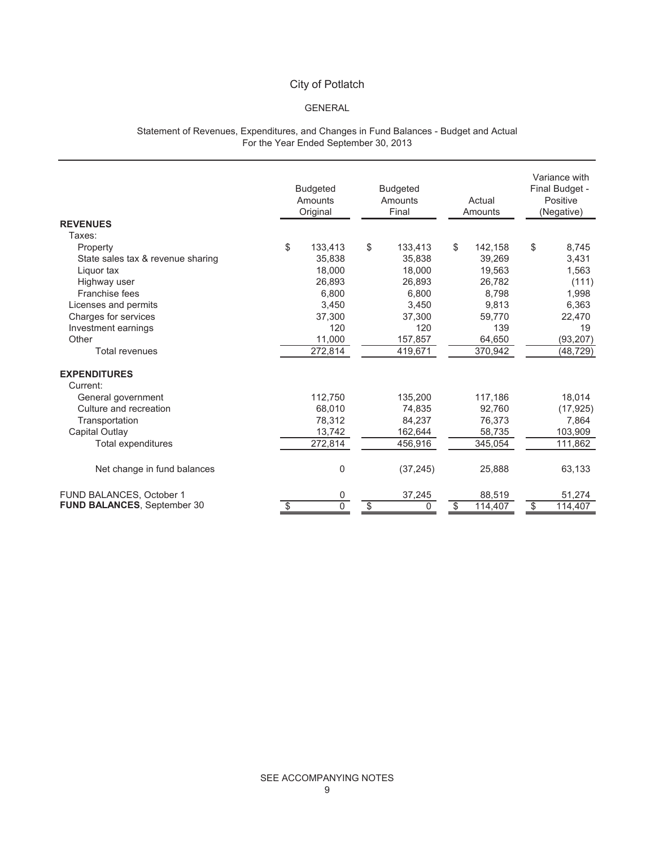#### City of Potlatch

#### GENERAL

#### For the Year Ended September 30, 2013 Statement of Revenues, Expenditures, and Changes in Fund Balances - Budget and Actual

|                                               | <b>Budgeted</b><br>Amounts<br>Original | <b>Budgeted</b><br>Amounts<br>Final | Actual<br>Amounts | Variance with<br>Final Budget -<br>Positive<br>(Negative) |
|-----------------------------------------------|----------------------------------------|-------------------------------------|-------------------|-----------------------------------------------------------|
| <b>REVENUES</b><br>Taxes:                     |                                        |                                     |                   |                                                           |
|                                               | \$<br>133,413                          | \$<br>133,413                       | 142,158<br>\$     | \$<br>8.745                                               |
| Property<br>State sales tax & revenue sharing | 35,838                                 | 35,838                              | 39,269            | 3,431                                                     |
| Liquor tax                                    | 18,000                                 | 18,000                              | 19,563            | 1,563                                                     |
| Highway user                                  | 26,893                                 | 26,893                              | 26,782            | (111)                                                     |
| Franchise fees                                | 6.800                                  | 6.800                               | 8.798             | 1.998                                                     |
| Licenses and permits                          | 3,450                                  | 3,450                               | 9,813             | 6,363                                                     |
| Charges for services                          | 37.300                                 | 37.300                              | 59.770            | 22,470                                                    |
| Investment earnings                           | 120                                    | 120                                 | 139               | 19                                                        |
| Other                                         | 11,000                                 | 157,857                             | 64,650            | (93, 207)                                                 |
| <b>Total revenues</b>                         | 272,814                                | 419,671                             | 370,942           | (48, 729)                                                 |
| <b>EXPENDITURES</b>                           |                                        |                                     |                   |                                                           |
| Current:                                      |                                        |                                     |                   |                                                           |
| General government                            | 112,750                                | 135,200                             | 117,186           | 18,014                                                    |
| Culture and recreation                        | 68,010                                 | 74,835                              | 92,760            | (17, 925)                                                 |
| Transportation                                | 78,312                                 | 84,237                              | 76,373            | 7,864                                                     |
| Capital Outlay                                | 13,742                                 | 162,644                             | 58,735            | 103,909                                                   |
| Total expenditures                            | 272,814                                | 456,916                             | 345,054           | 111,862                                                   |
| Net change in fund balances                   | $\mathbf 0$                            | (37, 245)                           | 25,888            | 63,133                                                    |
| FUND BALANCES, October 1                      | 0                                      | 37,245                              | 88,519            | 51,274                                                    |
| FUND BALANCES, September 30                   | \$<br>0                                | \$<br>0                             | \$<br>114,407     | $\frac{1}{2}$<br>114,407                                  |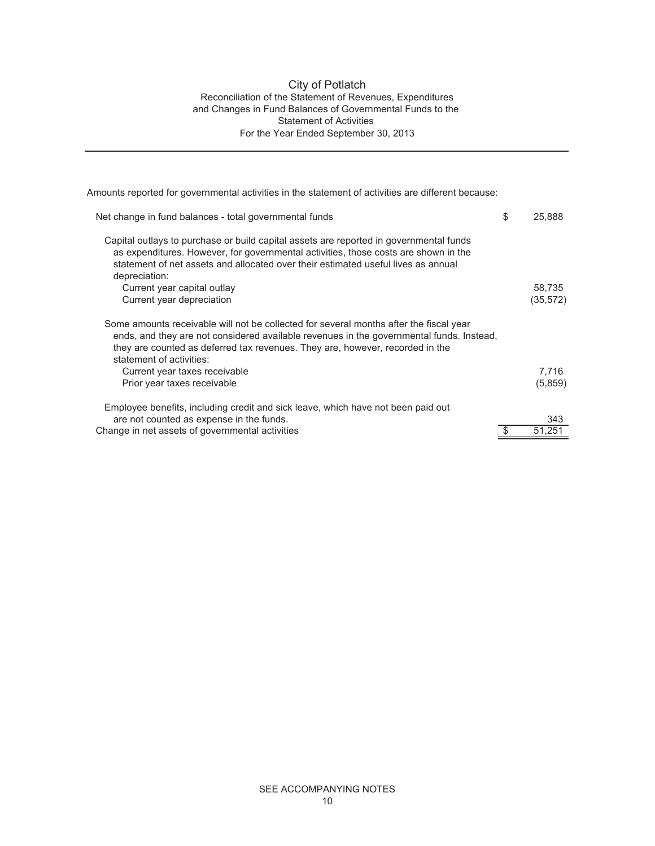#### For the Year Ended September 30, 2013 City of Potlatch Reconciliation of the Statement of Revenues, Expenditures and Changes in Fund Balances of Governmental Funds to the Statement of Activities

Amounts reported for governmental activities in the statement of activities are different because:

| Net change in fund balances - total governmental funds                                                                                                                                                                                                                                          | \$<br>25,888 |
|-------------------------------------------------------------------------------------------------------------------------------------------------------------------------------------------------------------------------------------------------------------------------------------------------|--------------|
| Capital outlays to purchase or build capital assets are reported in governmental funds<br>as expenditures. However, for governmental activities, those costs are shown in the<br>statement of net assets and allocated over their estimated useful lives as annual<br>depreciation:             |              |
| Current year capital outlay                                                                                                                                                                                                                                                                     | 58,735       |
| Current year depreciation                                                                                                                                                                                                                                                                       | (35, 572)    |
| Some amounts receivable will not be collected for several months after the fiscal year<br>ends, and they are not considered available revenues in the governmental funds. Instead,<br>they are counted as deferred tax revenues. They are, however, recorded in the<br>statement of activities: |              |
| Current year taxes receivable                                                                                                                                                                                                                                                                   | 7,716        |
| Prior year taxes receivable                                                                                                                                                                                                                                                                     | (5,859)      |
| Employee benefits, including credit and sick leave, which have not been paid out                                                                                                                                                                                                                |              |
| are not counted as expense in the funds.                                                                                                                                                                                                                                                        | 343          |
| Change in net assets of governmental activities                                                                                                                                                                                                                                                 | 51,251       |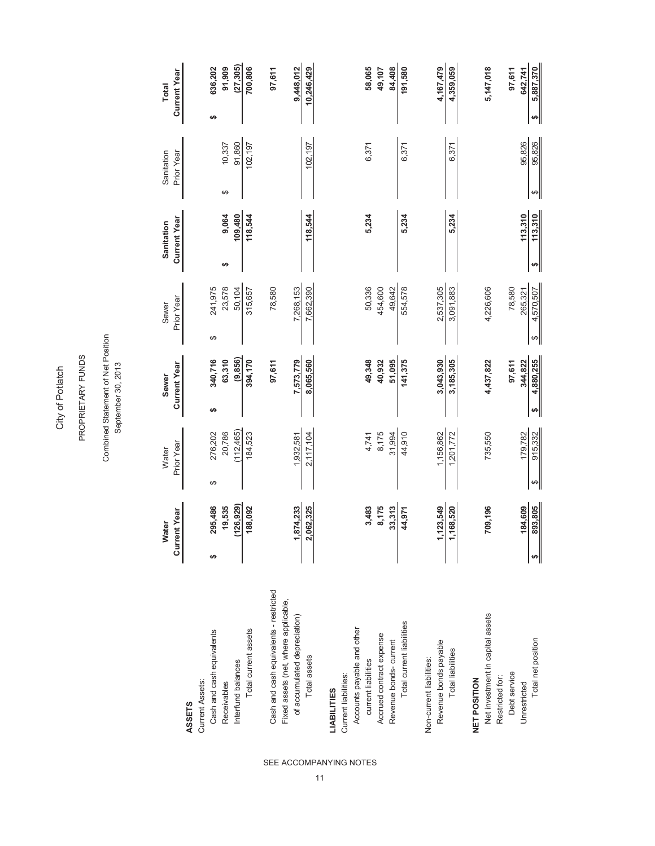City of Potlatch City of Potlatch

## PROPRIETARY FUNDS PROPRIETARY FUNDS

## Combined Statement of Net Position<br>September 30, 2013 Combined Statement of Net Position

September 30, 2013

|                                                                      | <b>Current Year</b><br><b>Nater</b> |   | Prior Year<br>Water | <b>Current Year</b><br><b>Sewer</b> |           |   | Prior Year<br>Sewer |   | <b>Current Year</b><br>Sanitation |   | Sanitation<br>Prior Year | <b>Current Year</b><br><b>Total</b> |  |
|----------------------------------------------------------------------|-------------------------------------|---|---------------------|-------------------------------------|-----------|---|---------------------|---|-----------------------------------|---|--------------------------|-------------------------------------|--|
| Current Assets:<br>ASSETS                                            |                                     |   |                     |                                     |           |   |                     |   |                                   |   |                          |                                     |  |
| Cash and cash equivalents                                            | 295,486<br><b>SA</b>                | ↔ | 276,202             | ↮                                   | 340,716   | ↔ | 241,975             |   |                                   |   |                          | 636,202<br>ക                        |  |
| Receivables                                                          | 19,535                              |   | 20,786              |                                     | 63,310    |   | 23,578              | ↮ | 9,064                             | ↮ | 10,337                   | 91,909                              |  |
| Interfund balances                                                   | (126, 929)                          |   | (112, 465)          |                                     | (9, 856)  |   | 50,104              |   | 109,480                           |   | 91,860                   | (27, 305)                           |  |
| Total current assets                                                 | 188,092                             |   | 184,523             |                                     | 394,170   |   | 315,657             |   | 118,544                           |   | 102,197                  | 700,806                             |  |
| Cash and cash equivalents - restricted                               |                                     |   |                     |                                     | 97,611    |   | 78,580              |   |                                   |   |                          | 97,611                              |  |
| Fixed assets (net, where applicable,<br>of accumulated depreciation) | 1,874,233                           |   | 1,932,581           |                                     | 7,573,779 |   | 7,268,153           |   |                                   |   |                          | 9,448,012                           |  |
| Total assets                                                         | 2,062,325                           |   | 2,117,104           |                                     | 8,065,560 |   | 7,662,390           |   | 118,544                           |   | 102,197                  | 10,246,429                          |  |
| <b>LIABILITIES</b>                                                   |                                     |   |                     |                                     |           |   |                     |   |                                   |   |                          |                                     |  |
| Current liabilities:                                                 |                                     |   |                     |                                     |           |   |                     |   |                                   |   |                          |                                     |  |
| Accounts payable and other                                           |                                     |   |                     |                                     |           |   |                     |   |                                   |   |                          |                                     |  |
| current liabilities                                                  | 3,483                               |   | 4,741               |                                     | 49,348    |   | 50,336              |   | 5,234                             |   | 6,371                    | 58,065                              |  |
| Accrued contract expense                                             | 8,175                               |   | 8,175               |                                     | 40,932    |   | 454,600             |   |                                   |   |                          | 49,107                              |  |
| Revenue bonds-current                                                | 33,313                              |   | 31,994              |                                     | 51,095    |   | 49,642              |   |                                   |   |                          | 84,408                              |  |
| Total current liabilities                                            | 44,971                              |   | 44,910              |                                     | 141,375   |   | 554,578             |   | 5,234                             |   | 6,371                    | 191,580                             |  |
| Non-current liabilities:                                             |                                     |   |                     |                                     |           |   |                     |   |                                   |   |                          |                                     |  |
| Revenue bonds payable                                                | 1,123,549                           |   | 1,156,862           |                                     | 3,043,930 |   | 2,537,305           |   |                                   |   |                          | 4.167.479                           |  |
| <b>Total liabilities</b>                                             | 1,168,520                           |   | 1,201,772           |                                     | 3,185,305 |   | 3,091,883           |   | 5,234                             |   | 6,371                    | 4,359,059                           |  |
| NET POSITION                                                         |                                     |   |                     |                                     |           |   |                     |   |                                   |   |                          |                                     |  |
| Net investment in capital assets                                     | 709,196                             |   | 735,550             |                                     | 4,437,822 |   | 4,226,606           |   |                                   |   |                          | 5,147,018                           |  |
| Restricted for:                                                      |                                     |   |                     |                                     |           |   |                     |   |                                   |   |                          |                                     |  |
| Debt service                                                         |                                     |   |                     |                                     | 97,611    |   | 78,580              |   |                                   |   |                          | 97,611                              |  |
| Unrestricted                                                         | 184,609                             |   | 179,782             |                                     | 344,822   |   | 265,321             |   | 113,310                           |   | 95,826                   | 642,741                             |  |
| Total net position                                                   | 893,805                             | ↮ | 915,332             | ↮                                   | 4,880,255 | ↔ | 4,570,507           | ↮ | 113,310                           | ↮ | 95,826                   | 5,887,370<br>↮                      |  |

SEE ACCOMPANYING NOTES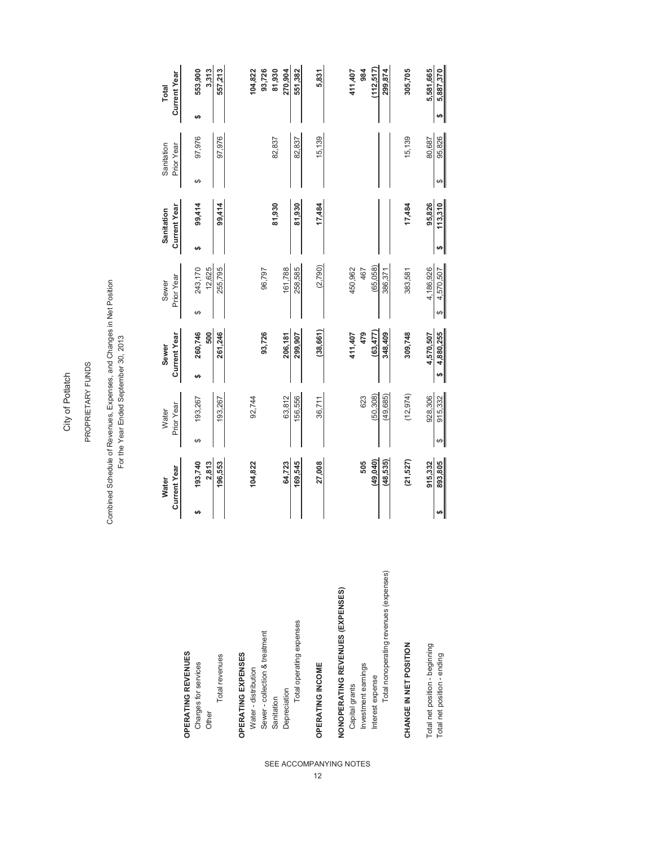### City of Potlatch City of Potlatch

## PROPRIETARY FUNDS PROPRIETARY FUNDS

# Combined Schedule of Revenues, Expenses, and Changes in Net Position<br>For the Year Ended September 30, 2013 Combined Schedule of Revenues, Expenses, and Changes in Net Position For the Year Ended September 30, 2013

|                        |                                        |    | <b>Current Year</b><br><b>Water</b> |   | Prior Year<br>Water |   | <b>Current Year</b><br>Sewer | Prior Year<br>Sewer |    | <b>Current Year</b><br>Sanitation |   | Sanitation<br>Prior Year |    | <b>Current Year</b><br>Total |
|------------------------|----------------------------------------|----|-------------------------------------|---|---------------------|---|------------------------------|---------------------|----|-----------------------------------|---|--------------------------|----|------------------------------|
|                        | OPERATING REVENUES                     |    |                                     |   |                     |   |                              |                     |    |                                   |   |                          |    |                              |
|                        | Charges for services                   | မာ | 193,740                             | ↔ | 193,267             | ↮ | 260,746                      | 243,170<br>↮        | မာ | 99,414                            | ↮ | 97,976                   | ŧ٩ | 553,900                      |
|                        | Other                                  |    | 2,813                               |   |                     |   | 500                          | 12,625              |    |                                   |   |                          |    | 3,313                        |
|                        | Total revenues                         |    | 196,553                             |   | 193,267             |   | 261,246                      | 255,795             |    | 99,414                            |   | 97,976                   |    | 557,213                      |
|                        | OPERATING EXPENSES                     |    |                                     |   |                     |   |                              |                     |    |                                   |   |                          |    |                              |
|                        | Water - distribution                   |    | 104,822                             |   | 92,744              |   |                              |                     |    |                                   |   |                          |    | 104,822                      |
|                        | Sewer-collection & treatment           |    |                                     |   |                     |   | 93,726                       | 96,797              |    |                                   |   |                          |    | 93,726                       |
|                        | Sanitation                             |    |                                     |   |                     |   |                              |                     |    | 81,930                            |   | 82,837                   |    | 81,930                       |
|                        | Depreciation                           |    | 64,723                              |   | 63,812              |   | 206,181                      | 161,788             |    |                                   |   |                          |    | 270,904                      |
|                        | Total operating expenses               |    | 169,545                             |   | 156,556             |   | 299,907                      | 258,585             |    | 81,930                            |   | 82,837                   |    | 551,382                      |
| SEE ACCOMPANYING NOTES | OPERATING INCOME                       |    | 27,008                              |   | 36,711              |   | (38, 661)                    | (2,790)             |    | 17,484                            |   | 15,139                   |    | 5,831                        |
|                        | NONOPERATING REVENUES (EXPENSES)       |    |                                     |   |                     |   |                              |                     |    |                                   |   |                          |    |                              |
|                        | Capital grants                         |    |                                     |   |                     |   | 411,407                      | 450,962             |    |                                   |   |                          |    | 411,407                      |
|                        | Investment earnings                    |    | 505                                 |   | 623                 |   | 479                          | 467                 |    |                                   |   |                          |    | 984                          |
|                        | Interest expense                       |    | (49,040)                            |   | (50, 308)           |   | (63, 477)                    | (65,058)            |    |                                   |   |                          |    | (112, 517)                   |
|                        | Total nonoperating revenues (expenses) |    | (48, 535)                           |   | (49, 685)           |   | 348,409                      | 386,371             |    |                                   |   |                          |    | 299,874                      |
|                        | CHANGE IN NET POSITION                 |    | (21, 527)                           |   | (12, 974)           |   | 309,748                      | 383,581             |    | 17,484                            |   | 15,139                   |    | 305,705                      |
|                        | Total net position - beginning         |    | 915,332                             |   | 928,306             |   | 4,570,507                    | 4,186,926           |    | 95,826                            |   | 80,687                   |    | 5,581,665                    |
|                        | Total net position - ending            | ↮  | 893,805                             | ↮ | 915,332             | H | 4,880,255                    | 4,570,507<br>↔      | ↮  | 113,310                           | ↔ | 95,826                   | \$ | 5,887,370                    |

12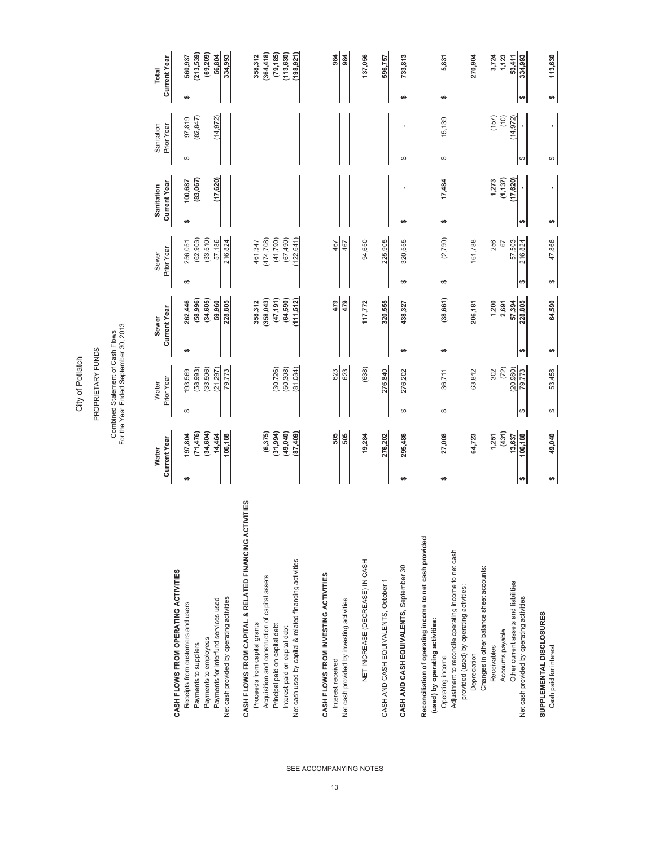City of Potlatch City of Potlatch

## PROPRIETARY FUNDS PROPRIETARY FUNDS

## Combined Statement of Cash Flows<br>For the Year Ended September 30, 2013 For the Year Ended September 30, 2013 Combined Statement of Cash Flows

|                                                           |           | <b>Water</b>        |                       | Water      |   | <b>Sewer</b>        |                   | Sewer      |    | Sanitation   |                   | Sanitation |   | Total               |
|-----------------------------------------------------------|-----------|---------------------|-----------------------|------------|---|---------------------|-------------------|------------|----|--------------|-------------------|------------|---|---------------------|
|                                                           |           | <b>Current Year</b> |                       | Prior Year |   | <b>Current Year</b> |                   | Prior Year |    | Current Year |                   | Prior Year |   | <b>Current Year</b> |
| CASH FLOWS FROM OPERATING ACTIVITIES                      |           |                     |                       |            |   |                     |                   |            |    |              |                   |            |   |                     |
| Receipts from customers and users                         | ↮         | 197,804             | ↮                     | 193,569    | ↮ | 262,446             | ↮                 | 256,051    | ↮  | 100,687      | ↮                 | 97,819     | ↔ | 560,937             |
| Payments to suppliers                                     |           | (71, 476)           |                       | (58, 993)  |   | (58, 996)           |                   | (62, 903)  |    | (83,067)     |                   | (82, 847)  |   | (213, 539)          |
| Payments to employees                                     |           | (34, 604)           |                       | (33, 506)  |   | (34, 605)           |                   | (33, 510)  |    |              |                   |            |   | (69, 209)           |
| Payments for interfund services used                      |           | 14,464              |                       | (21, 297)  |   | 59,960              |                   | 57,186     |    | (17, 620)    |                   | (14, 972)  |   | 56,804              |
| Net cash provided by operating activities                 |           | 106,188             |                       | 79,773     |   | 228,805             |                   | 216,824    |    |              |                   |            |   | 334,993             |
| CASH FLOWS FROM CAPITAL & RELATED FINANCING ACTIVITIES    |           |                     |                       |            |   |                     |                   |            |    |              |                   |            |   |                     |
| Proceeds from capital grants                              |           |                     |                       |            |   | 358,312             |                   | 461,347    |    |              |                   |            |   | 358,312             |
| Acquisition and construction of capital assets            |           | (6, 375)            |                       |            |   | (358, 043)          |                   | (474, 708) |    |              |                   |            |   | (364, 418)          |
| Principal paid on capital debt                            |           | (31, 994)           |                       | (30, 726)  |   | (47, 191)           |                   | (41, 790)  |    |              |                   |            |   | (79, 185)           |
| Interest paid on capital debt                             |           | (49, 040)           |                       | (50, 308)  |   | (64, 590)           |                   | (67, 490)  |    |              |                   |            |   | (113, 630)          |
| Net cash used by capital & related financing activities   |           | (87, 409)           |                       | (81,034)   |   | (111,512)           |                   | (122, 641) |    |              |                   |            |   | (198, 921)          |
| CASH FLOWS FROM INVESTING ACTIVITIES<br>Interest received |           | 505                 |                       | 623        |   | 479                 |                   | 467        |    |              |                   |            |   | 984                 |
| Net cash provided by investing activities                 |           | 505                 |                       | 623        |   | 479                 |                   | 467        |    |              |                   |            |   | 984                 |
|                                                           |           |                     |                       |            |   |                     |                   |            |    |              |                   |            |   |                     |
| NET INCREASE (DECREASE) IN CASH                           |           | 19,284              |                       | (638)      |   | 117,772             |                   | 94,650     |    |              |                   |            |   | 137,056             |
| CASH AND CASH EQUIVALENTS, October 1                      |           | 276,202             |                       | 276,840    |   | 320,555             |                   | 225,905    |    |              |                   |            |   | 596,757             |
| CASH AND CASH EQUIVALENTS, September 30                   | ↮         | 295,486             | ↮                     | 276,202    | ↮ | 438,327             | ↮                 | 320,555    | မာ |              | $\Theta$          |            | ↮ | 733,813             |
| Reconciliation of operating income to net cash provided   |           |                     |                       |            |   |                     |                   |            |    |              |                   |            |   |                     |
| (used) by operating activities:                           |           |                     |                       |            |   |                     |                   |            |    |              |                   |            |   |                     |
| Operating income                                          | ↮         | 27,008              | $\Theta$              | 36,711     | ↮ | (38, 661)           | $\leftrightarrow$ | (2,790)    | ↮  | 17,484       | $\leftrightarrow$ | 15,139     | ↮ | 5,831               |
| Adjustment to reconcile operating income to net cash      |           |                     |                       |            |   |                     |                   |            |    |              |                   |            |   |                     |
| provided (used) by operating activities:                  |           |                     |                       |            |   |                     |                   |            |    |              |                   |            |   |                     |
| Depreciation                                              |           | 64,723              |                       | 63,812     |   | 206,181             |                   | 161,788    |    |              |                   |            |   | 270,904             |
| Changes in other balance sheet accounts:                  |           |                     |                       |            |   |                     |                   |            |    |              |                   |            |   |                     |
| Receivables                                               |           | 1,251               |                       | 302        |   | 1,200               |                   | 256        |    | 1,273        |                   | (157)      |   | 3,724               |
| Accounts payable                                          |           | (431)               |                       | (72)       |   | 2,691               |                   | 67         |    | (1, 137)     |                   | (10)       |   | 1,123               |
| Other current assets and liabilities                      |           | 13,637              |                       | (20, 980)  |   | 57,394              |                   | 57,503     |    | (17, 620)    |                   | (14, 972)  |   | 53,411              |
| Net cash provided by operating activities                 | $\bullet$ | 106,188             | ↮                     | 79,773     | ↮ | 228,805             | $\Theta$          | 216,824    | ↮  |              | ↮                 |            | ↮ | 334,993             |
| SUPPLEMENTAL DISCLOSURES                                  |           |                     |                       |            |   |                     |                   |            |    |              |                   |            |   |                     |
| Cash paid for interest                                    | ↮         | 49,040              | $\boldsymbol{\omega}$ | 53,458     | ↮ | 64,590              | ↮                 | 47,866     | ↮  |              | ↮                 |            | ↮ | 113,630             |

SEE ACCOMPANYING NOTES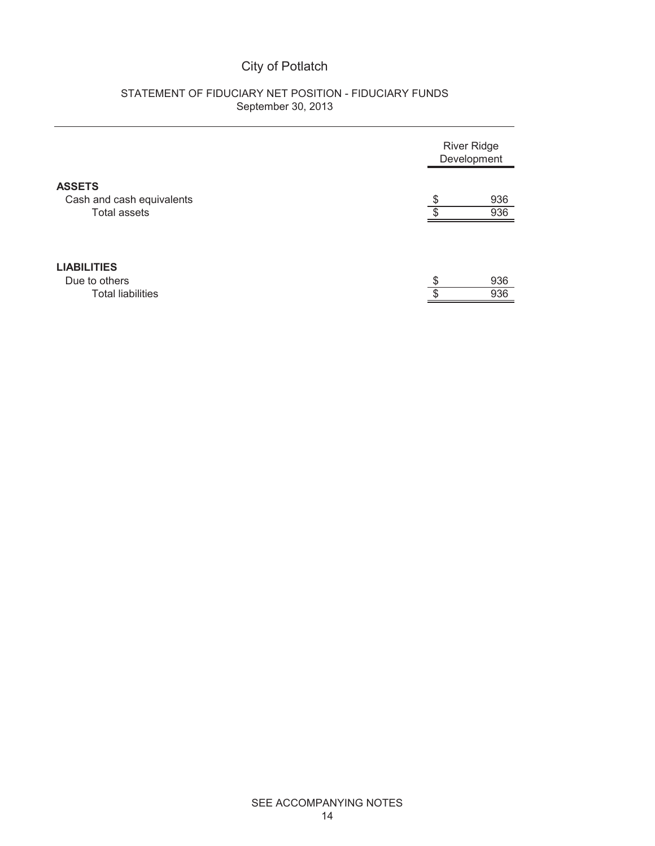#### City of Potlatch

#### STATEMENT OF FIDUCIARY NET POSITION - FIDUCIARY FUNDS September 30, 2013

|                                                                 | <b>River Ridge</b><br>Development |            |
|-----------------------------------------------------------------|-----------------------------------|------------|
| <b>ASSETS</b>                                                   |                                   |            |
| Cash and cash equivalents                                       | S                                 | 936        |
| <b>Total assets</b>                                             | ¢                                 | 936        |
| <b>LIABILITIES</b><br>Due to others<br><b>Total liabilities</b> | σ                                 | 936<br>936 |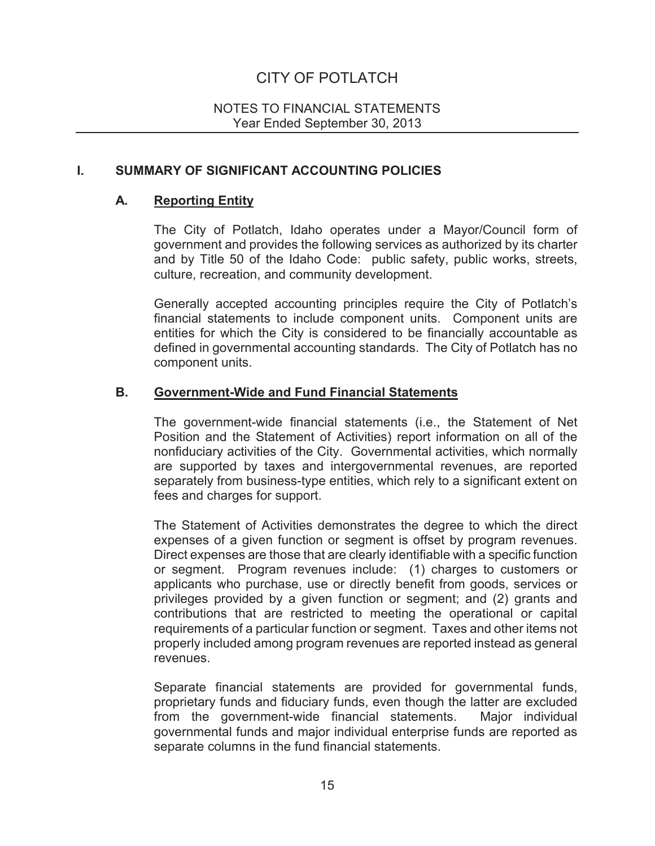#### NOTES TO FINANCIAL STATEMENTS Year Ended September 30, 2013

#### **I. SUMMARY OF SIGNIFICANT ACCOUNTING POLICIES**

#### **A. Reporting Entity**

The City of Potlatch, Idaho operates under a Mayor/Council form of government and provides the following services as authorized by its charter and by Title 50 of the Idaho Code: public safety, public works, streets, culture, recreation, and community development.

Generally accepted accounting principles require the City of Potlatch's financial statements to include component units. Component units are entities for which the City is considered to be financially accountable as defined in governmental accounting standards. The City of Potlatch has no component units.

#### **B. Government-Wide and Fund Financial Statements**

The government-wide financial statements (i.e., the Statement of Net Position and the Statement of Activities) report information on all of the nonfiduciary activities of the City. Governmental activities, which normally are supported by taxes and intergovernmental revenues, are reported separately from business-type entities, which rely to a significant extent on fees and charges for support.

The Statement of Activities demonstrates the degree to which the direct expenses of a given function or segment is offset by program revenues. Direct expenses are those that are clearly identifiable with a specific function or segment. Program revenues include: (1) charges to customers or applicants who purchase, use or directly benefit from goods, services or privileges provided by a given function or segment; and (2) grants and contributions that are restricted to meeting the operational or capital requirements of a particular function or segment. Taxes and other items not properly included among program revenues are reported instead as general revenues.

Separate financial statements are provided for governmental funds, proprietary funds and fiduciary funds, even though the latter are excluded from the government-wide financial statements. Major individual governmental funds and major individual enterprise funds are reported as separate columns in the fund financial statements.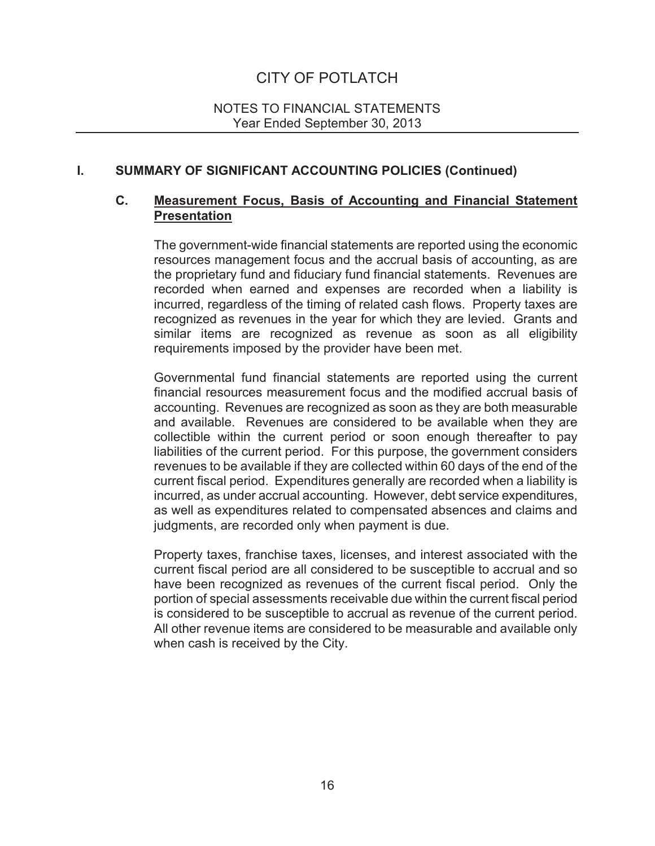#### NOTES TO FINANCIAL STATEMENTS Year Ended September 30, 2013

#### **I. SUMMARY OF SIGNIFICANT ACCOUNTING POLICIES (Continued)**

#### **C. Measurement Focus, Basis of Accounting and Financial Statement Presentation**

The government-wide financial statements are reported using the economic resources management focus and the accrual basis of accounting, as are the proprietary fund and fiduciary fund financial statements. Revenues are recorded when earned and expenses are recorded when a liability is incurred, regardless of the timing of related cash flows. Property taxes are recognized as revenues in the year for which they are levied. Grants and similar items are recognized as revenue as soon as all eligibility requirements imposed by the provider have been met.

Governmental fund financial statements are reported using the current financial resources measurement focus and the modified accrual basis of accounting. Revenues are recognized as soon as they are both measurable and available. Revenues are considered to be available when they are collectible within the current period or soon enough thereafter to pay liabilities of the current period. For this purpose, the government considers revenues to be available if they are collected within 60 days of the end of the current fiscal period. Expenditures generally are recorded when a liability is incurred, as under accrual accounting. However, debt service expenditures, as well as expenditures related to compensated absences and claims and judgments, are recorded only when payment is due.

Property taxes, franchise taxes, licenses, and interest associated with the current fiscal period are all considered to be susceptible to accrual and so have been recognized as revenues of the current fiscal period. Only the portion of special assessments receivable due within the current fiscal period is considered to be susceptible to accrual as revenue of the current period. All other revenue items are considered to be measurable and available only when cash is received by the City.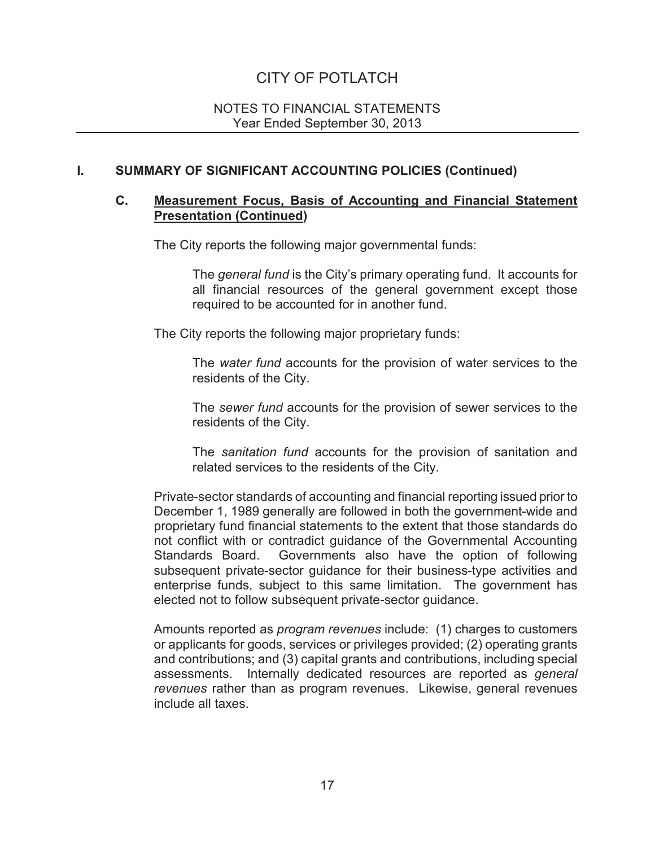#### NOTES TO FINANCIAL STATEMENTS Year Ended September 30, 2013

#### **I. SUMMARY OF SIGNIFICANT ACCOUNTING POLICIES (Continued)**

#### **C. Measurement Focus, Basis of Accounting and Financial Statement Presentation (Continued)**

The City reports the following major governmental funds:

The *general fund* is the City's primary operating fund. It accounts for all financial resources of the general government except those required to be accounted for in another fund.

The City reports the following major proprietary funds:

The *water fund* accounts for the provision of water services to the residents of the City.

The *sewer fund* accounts for the provision of sewer services to the residents of the City.

The *sanitation fund* accounts for the provision of sanitation and related services to the residents of the City.

Private-sector standards of accounting and financial reporting issued prior to December 1, 1989 generally are followed in both the government-wide and proprietary fund financial statements to the extent that those standards do not conflict with or contradict guidance of the Governmental Accounting Standards Board. Governments also have the option of following subsequent private-sector guidance for their business-type activities and enterprise funds, subject to this same limitation. The government has elected not to follow subsequent private-sector guidance.

Amounts reported as *program revenues* include: (1) charges to customers or applicants for goods, services or privileges provided; (2) operating grants and contributions; and (3) capital grants and contributions, including special assessments. Internally dedicated resources are reported as *general revenues* rather than as program revenues. Likewise, general revenues include all taxes.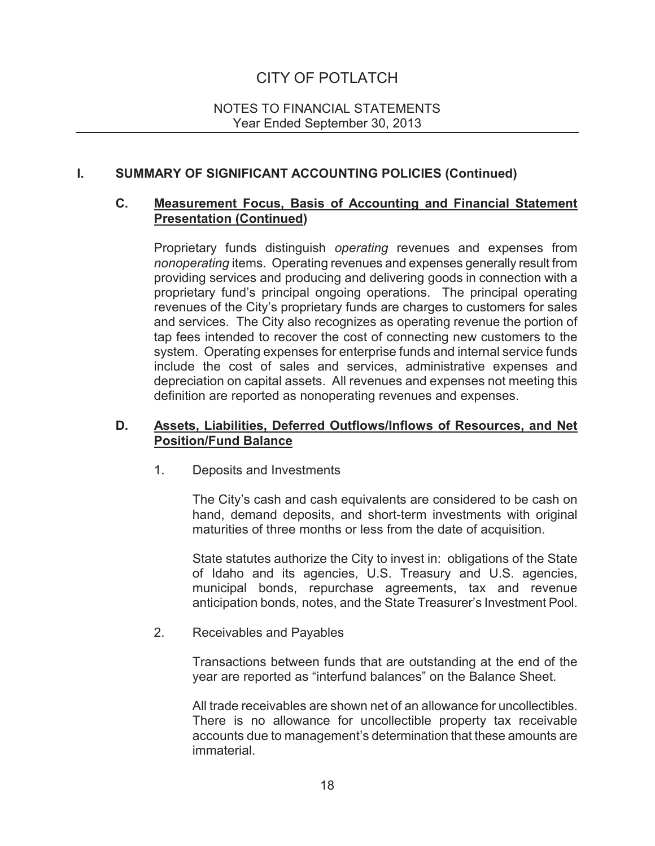#### NOTES TO FINANCIAL STATEMENTS Year Ended September 30, 2013

#### **I. SUMMARY OF SIGNIFICANT ACCOUNTING POLICIES (Continued)**

#### **C. Measurement Focus, Basis of Accounting and Financial Statement Presentation (Continued)**

Proprietary funds distinguish *operating* revenues and expenses from *nonoperating* items. Operating revenues and expenses generally result from providing services and producing and delivering goods in connection with a proprietary fund's principal ongoing operations. The principal operating revenues of the City's proprietary funds are charges to customers for sales and services. The City also recognizes as operating revenue the portion of tap fees intended to recover the cost of connecting new customers to the system. Operating expenses for enterprise funds and internal service funds include the cost of sales and services, administrative expenses and depreciation on capital assets. All revenues and expenses not meeting this definition are reported as nonoperating revenues and expenses.

#### **D. Assets, Liabilities, Deferred Outflows/Inflows of Resources, and Net Position/Fund Balance**

1. Deposits and Investments

The City's cash and cash equivalents are considered to be cash on hand, demand deposits, and short-term investments with original maturities of three months or less from the date of acquisition.

State statutes authorize the City to invest in: obligations of the State of Idaho and its agencies, U.S. Treasury and U.S. agencies, municipal bonds, repurchase agreements, tax and revenue anticipation bonds, notes, and the State Treasurer's Investment Pool.

2. Receivables and Payables

Transactions between funds that are outstanding at the end of the year are reported as "interfund balances" on the Balance Sheet.

All trade receivables are shown net of an allowance for uncollectibles. There is no allowance for uncollectible property tax receivable accounts due to management's determination that these amounts are immaterial.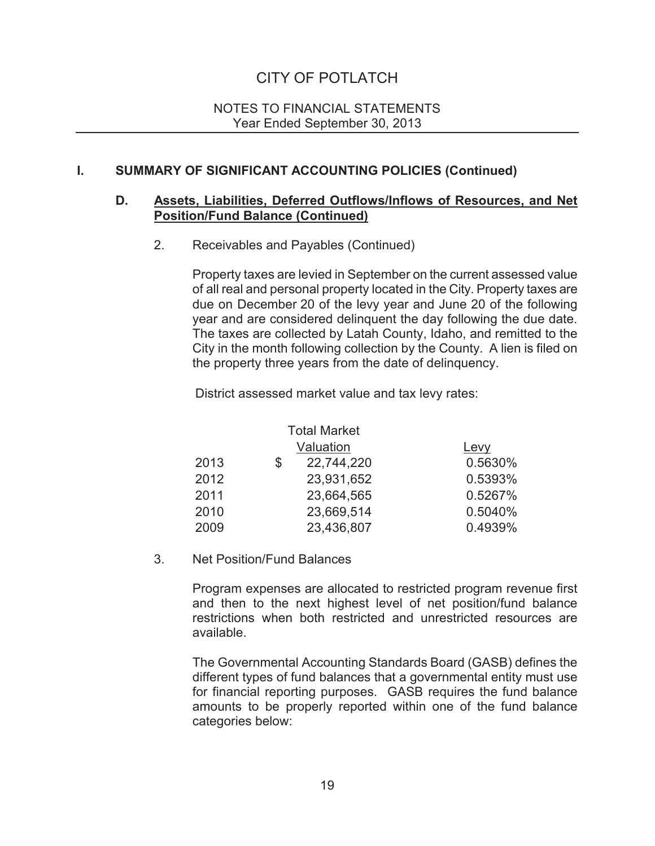#### NOTES TO FINANCIAL STATEMENTS Year Ended September 30, 2013

#### **I. SUMMARY OF SIGNIFICANT ACCOUNTING POLICIES (Continued)**

#### **D. Assets, Liabilities, Deferred Outflows/Inflows of Resources, and Net Position/Fund Balance (Continued)**

2. Receivables and Payables (Continued)

Property taxes are levied in September on the current assessed value of all real and personal property located in the City. Property taxes are due on December 20 of the levy year and June 20 of the following year and are considered delinquent the day following the due date. The taxes are collected by Latah County, Idaho, and remitted to the City in the month following collection by the County. A lien is filed on the property three years from the date of delinquency.

District assessed market value and tax levy rates:

|      |   | <b>Total Market</b> |         |
|------|---|---------------------|---------|
|      |   | Valuation           | Levy    |
| 2013 | S | 22,744,220          | 0.5630% |
| 2012 |   | 23,931,652          | 0.5393% |
| 2011 |   | 23,664,565          | 0.5267% |
| 2010 |   | 23,669,514          | 0.5040% |
| 2009 |   | 23,436,807          | 0.4939% |

3. Net Position/Fund Balances

Program expenses are allocated to restricted program revenue first and then to the next highest level of net position/fund balance restrictions when both restricted and unrestricted resources are available.

The Governmental Accounting Standards Board (GASB) defines the different types of fund balances that a governmental entity must use for financial reporting purposes. GASB requires the fund balance amounts to be properly reported within one of the fund balance categories below: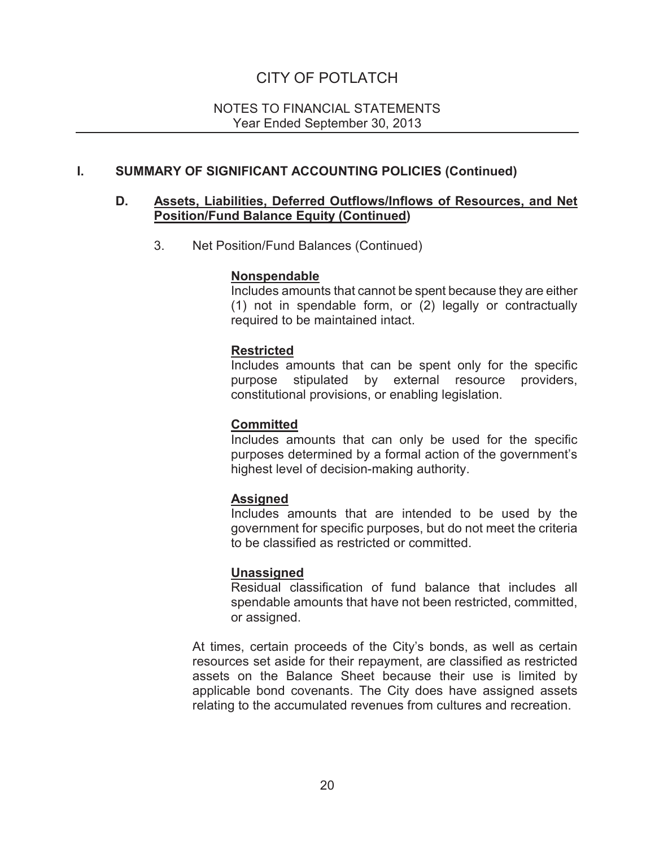#### NOTES TO FINANCIAL STATEMENTS Year Ended September 30, 2013

#### **I. SUMMARY OF SIGNIFICANT ACCOUNTING POLICIES (Continued)**

#### **D. Assets, Liabilities, Deferred Outflows/Inflows of Resources, and Net Position/Fund Balance Equity (Continued)**

3. Net Position/Fund Balances (Continued)

#### **Nonspendable**

Includes amounts that cannot be spent because they are either (1) not in spendable form, or (2) legally or contractually required to be maintained intact.

#### **Restricted**

Includes amounts that can be spent only for the specific purpose stipulated by external resource providers, constitutional provisions, or enabling legislation.

#### **Committed**

Includes amounts that can only be used for the specific purposes determined by a formal action of the government's highest level of decision-making authority.

#### **Assigned**

Includes amounts that are intended to be used by the government for specific purposes, but do not meet the criteria to be classified as restricted or committed.

#### **Unassigned**

Residual classification of fund balance that includes all spendable amounts that have not been restricted, committed, or assigned.

At times, certain proceeds of the City's bonds, as well as certain resources set aside for their repayment, are classified as restricted assets on the Balance Sheet because their use is limited by applicable bond covenants. The City does have assigned assets relating to the accumulated revenues from cultures and recreation.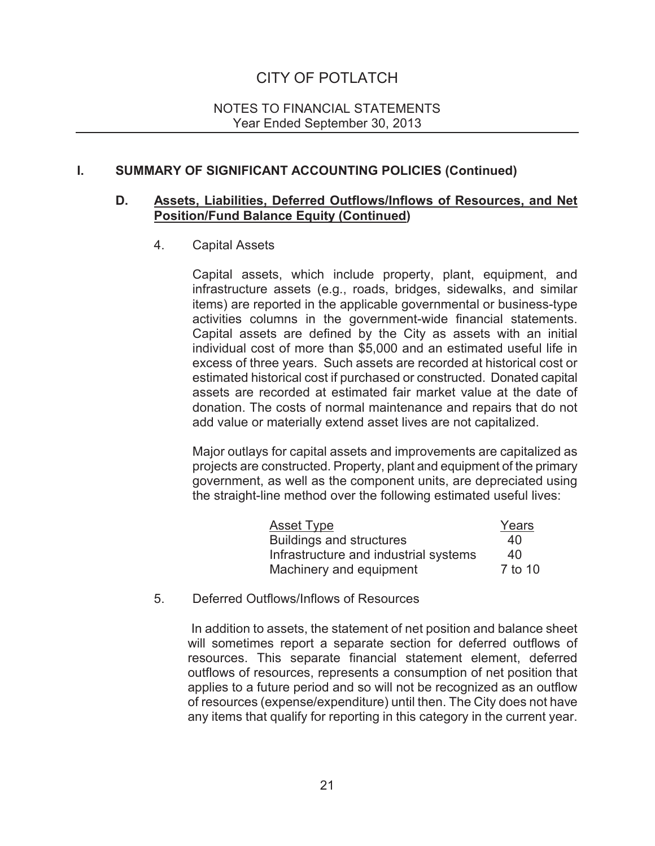#### NOTES TO FINANCIAL STATEMENTS Year Ended September 30, 2013

#### **I. SUMMARY OF SIGNIFICANT ACCOUNTING POLICIES (Continued)**

#### **D. Assets, Liabilities, Deferred Outflows/Inflows of Resources, and Net Position/Fund Balance Equity (Continued)**

#### 4. Capital Assets

Capital assets, which include property, plant, equipment, and infrastructure assets (e.g., roads, bridges, sidewalks, and similar items) are reported in the applicable governmental or business-type activities columns in the government-wide financial statements. Capital assets are defined by the City as assets with an initial individual cost of more than \$5,000 and an estimated useful life in excess of three years. Such assets are recorded at historical cost or estimated historical cost if purchased or constructed. Donated capital assets are recorded at estimated fair market value at the date of donation. The costs of normal maintenance and repairs that do not add value or materially extend asset lives are not capitalized.

Major outlays for capital assets and improvements are capitalized as projects are constructed. Property, plant and equipment of the primary government, as well as the component units, are depreciated using the straight-line method over the following estimated useful lives:

| <b>Asset Type</b>                     | Years   |
|---------------------------------------|---------|
| <b>Buildings and structures</b>       | 40      |
| Infrastructure and industrial systems | 40      |
| Machinery and equipment               | 7 to 10 |

#### 5. Deferred Outflows/Inflows of Resources

In addition to assets, the statement of net position and balance sheet will sometimes report a separate section for deferred outflows of resources. This separate financial statement element, deferred outflows of resources, represents a consumption of net position that applies to a future period and so will not be recognized as an outflow of resources (expense/expenditure) until then. The City does not have any items that qualify for reporting in this category in the current year.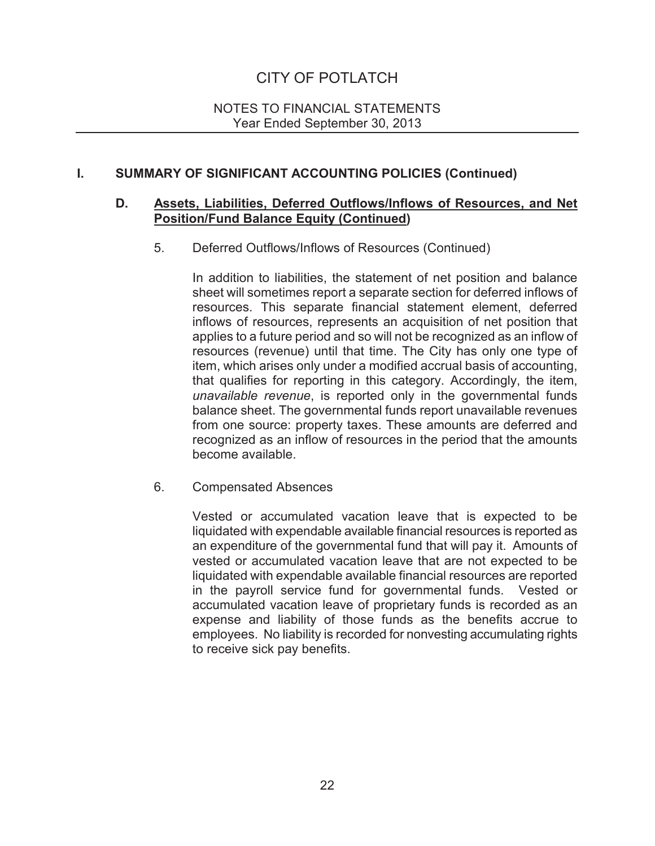#### NOTES TO FINANCIAL STATEMENTS Year Ended September 30, 2013

#### **I. SUMMARY OF SIGNIFICANT ACCOUNTING POLICIES (Continued)**

#### **D. Assets, Liabilities, Deferred Outflows/Inflows of Resources, and Net Position/Fund Balance Equity (Continued)**

5. Deferred Outflows/Inflows of Resources (Continued)

In addition to liabilities, the statement of net position and balance sheet will sometimes report a separate section for deferred inflows of resources. This separate financial statement element, deferred inflows of resources, represents an acquisition of net position that applies to a future period and so will not be recognized as an inflow of resources (revenue) until that time. The City has only one type of item, which arises only under a modified accrual basis of accounting, that qualifies for reporting in this category. Accordingly, the item, *unavailable revenue*, is reported only in the governmental funds balance sheet. The governmental funds report unavailable revenues from one source: property taxes. These amounts are deferred and recognized as an inflow of resources in the period that the amounts become available.

6. Compensated Absences

Vested or accumulated vacation leave that is expected to be liquidated with expendable available financial resources is reported as an expenditure of the governmental fund that will pay it. Amounts of vested or accumulated vacation leave that are not expected to be liquidated with expendable available financial resources are reported in the payroll service fund for governmental funds. Vested or accumulated vacation leave of proprietary funds is recorded as an expense and liability of those funds as the benefits accrue to employees. No liability is recorded for nonvesting accumulating rights to receive sick pay benefits.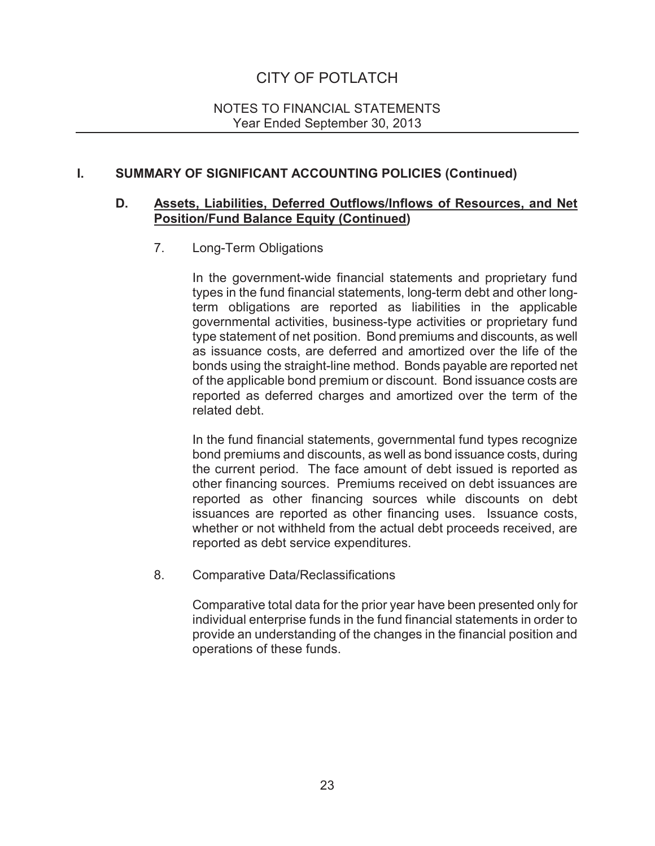#### NOTES TO FINANCIAL STATEMENTS Year Ended September 30, 2013

#### **I. SUMMARY OF SIGNIFICANT ACCOUNTING POLICIES (Continued)**

#### **D. Assets, Liabilities, Deferred Outflows/Inflows of Resources, and Net Position/Fund Balance Equity (Continued)**

7. Long-Term Obligations

In the government-wide financial statements and proprietary fund types in the fund financial statements, long-term debt and other longterm obligations are reported as liabilities in the applicable governmental activities, business-type activities or proprietary fund type statement of net position. Bond premiums and discounts, as well as issuance costs, are deferred and amortized over the life of the bonds using the straight-line method. Bonds payable are reported net of the applicable bond premium or discount. Bond issuance costs are reported as deferred charges and amortized over the term of the related debt.

In the fund financial statements, governmental fund types recognize bond premiums and discounts, as well as bond issuance costs, during the current period. The face amount of debt issued is reported as other financing sources. Premiums received on debt issuances are reported as other financing sources while discounts on debt issuances are reported as other financing uses. Issuance costs, whether or not withheld from the actual debt proceeds received, are reported as debt service expenditures.

8. Comparative Data/Reclassifications

Comparative total data for the prior year have been presented only for individual enterprise funds in the fund financial statements in order to provide an understanding of the changes in the financial position and operations of these funds.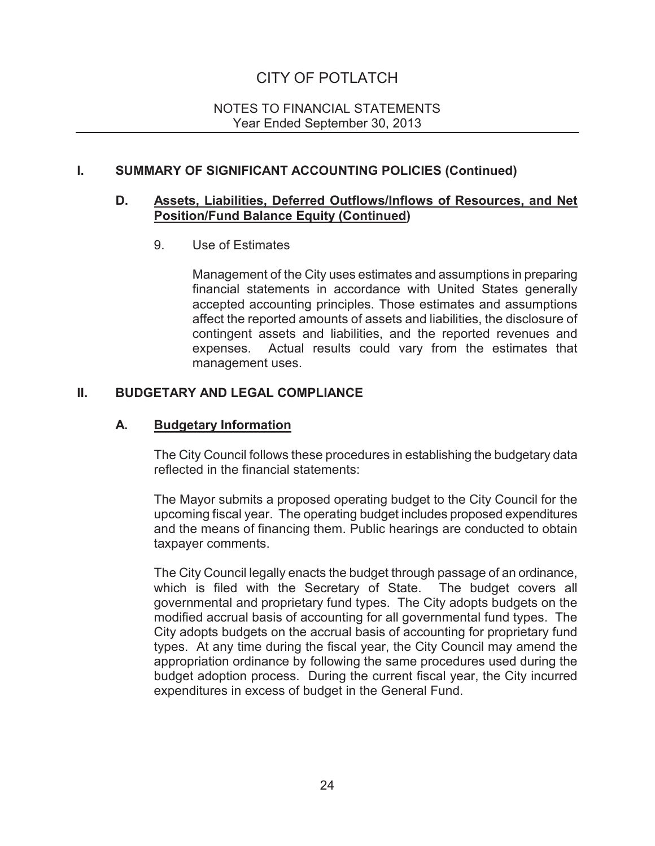#### NOTES TO FINANCIAL STATEMENTS Year Ended September 30, 2013

#### **I. SUMMARY OF SIGNIFICANT ACCOUNTING POLICIES (Continued)**

#### **D. Assets, Liabilities, Deferred Outflows/Inflows of Resources, and Net Position/Fund Balance Equity (Continued)**

9. Use of Estimates

Management of the City uses estimates and assumptions in preparing financial statements in accordance with United States generally accepted accounting principles. Those estimates and assumptions affect the reported amounts of assets and liabilities, the disclosure of contingent assets and liabilities, and the reported revenues and expenses. Actual results could vary from the estimates that management uses.

#### **II. BUDGETARY AND LEGAL COMPLIANCE**

#### **A. Budgetary Information**

The City Council follows these procedures in establishing the budgetary data reflected in the financial statements:

The Mayor submits a proposed operating budget to the City Council for the upcoming fiscal year. The operating budget includes proposed expenditures and the means of financing them. Public hearings are conducted to obtain taxpayer comments.

The City Council legally enacts the budget through passage of an ordinance, which is filed with the Secretary of State. The budget covers all governmental and proprietary fund types. The City adopts budgets on the modified accrual basis of accounting for all governmental fund types. The City adopts budgets on the accrual basis of accounting for proprietary fund types. At any time during the fiscal year, the City Council may amend the appropriation ordinance by following the same procedures used during the budget adoption process. During the current fiscal year, the City incurred expenditures in excess of budget in the General Fund.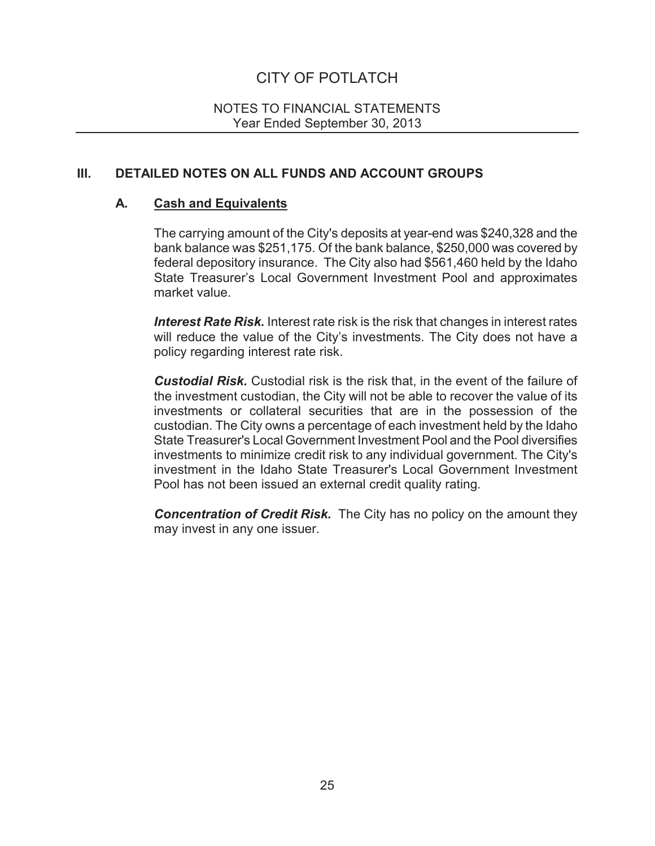#### NOTES TO FINANCIAL STATEMENTS Year Ended September 30, 2013

#### **III. DETAILED NOTES ON ALL FUNDS AND ACCOUNT GROUPS**

#### **A. Cash and Equivalents**

The carrying amount of the City's deposits at year-end was \$240,328 and the bank balance was \$251,175. Of the bank balance, \$250,000 was covered by federal depository insurance. The City also had \$561,460 held by the Idaho State Treasurer's Local Government Investment Pool and approximates market value.

*Interest Rate Risk.* Interest rate risk is the risk that changes in interest rates will reduce the value of the City's investments. The City does not have a policy regarding interest rate risk.

*Custodial Risk.* Custodial risk is the risk that, in the event of the failure of the investment custodian, the City will not be able to recover the value of its investments or collateral securities that are in the possession of the custodian. The City owns a percentage of each investment held by the Idaho State Treasurer's Local Government Investment Pool and the Pool diversifies investments to minimize credit risk to any individual government. The City's investment in the Idaho State Treasurer's Local Government Investment Pool has not been issued an external credit quality rating.

*Concentration of Credit Risk.* The City has no policy on the amount they may invest in any one issuer.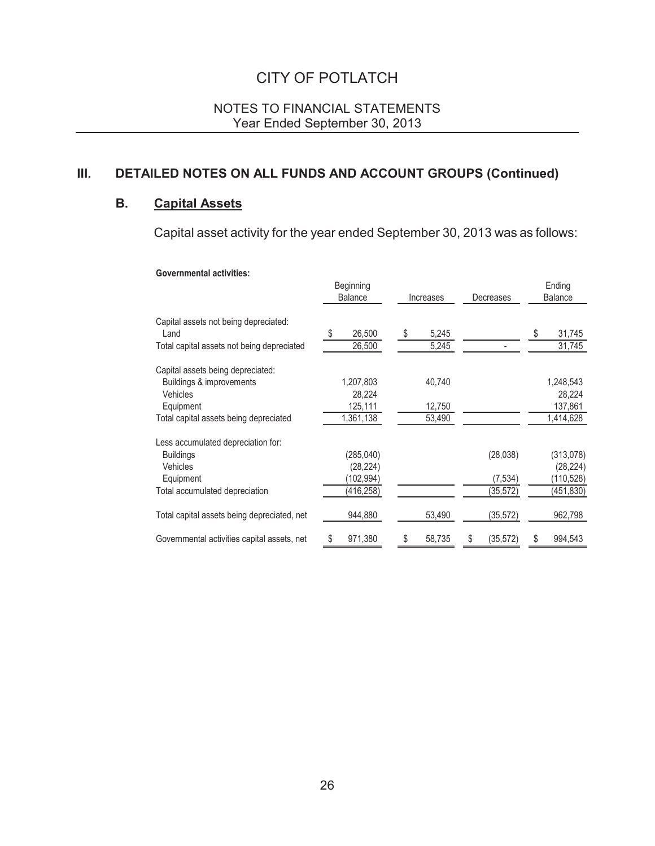#### NOTES TO FINANCIAL STATEMENTS Year Ended September 30, 2013

#### **III. DETAILED NOTES ON ALL FUNDS AND ACCOUNT GROUPS (Continued)**

#### **B. Capital Assets**

Capital asset activity for the year ended September 30, 2013 was as follows:

#### **Governmental activities:**

|                                               | Beginning<br><b>Balance</b> | Increases     | Decreases      | Ending<br><b>Balance</b> |
|-----------------------------------------------|-----------------------------|---------------|----------------|--------------------------|
| Capital assets not being depreciated:<br>Land | 26,500<br>- \$              | - \$<br>5,245 |                | 31,745<br>S              |
| Total capital assets not being depreciated    | 26,500                      | 5,245         |                | 31,745                   |
| Capital assets being depreciated:             |                             |               |                |                          |
| Buildings & improvements                      | 1,207,803                   | 40,740        |                | 1,248,543                |
| <b>Vehicles</b>                               | 28,224                      |               |                | 28,224                   |
| Equipment                                     | 125,111                     | 12,750        |                | 137,861                  |
| Total capital assets being depreciated        | 1,361,138                   | 53,490        |                | 1,414,628                |
| Less accumulated depreciation for:            |                             |               |                |                          |
| <b>Buildings</b>                              | (285, 040)                  |               | (28, 038)      | (313,078)                |
| <b>Vehicles</b>                               | (28, 224)                   |               |                | (28, 224)                |
| Equipment                                     | (102, 994)                  |               | (7, 534)       | (110, 528)               |
| Total accumulated depreciation                | (416,258)                   |               | (35,572)       | (451,830)                |
| Total capital assets being depreciated, net   | 944,880                     | 53,490        | (35,572)       | 962,798                  |
| Governmental activities capital assets, net   | 971,380                     | 58,735        | (35, 572)<br>S | 994,543                  |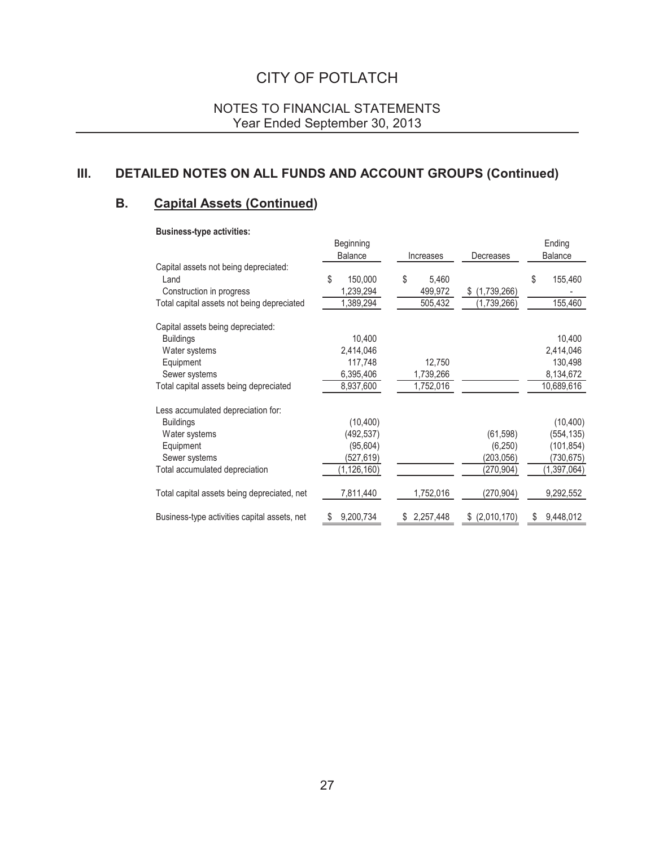#### NOTES TO FINANCIAL STATEMENTS Year Ended September 30, 2013

#### **III. DETAILED NOTES ON ALL FUNDS AND ACCOUNT GROUPS (Continued)**

#### **B. Capital Assets (Continued)**

#### **Business-type activities:**

|                                              | Beginning<br><b>Balance</b> | Increases      | Decreases        | Ending<br><b>Balance</b> |
|----------------------------------------------|-----------------------------|----------------|------------------|--------------------------|
| Capital assets not being depreciated:        |                             |                |                  |                          |
| Land                                         | \$<br>150,000               | \$<br>5,460    |                  | \$<br>155,460            |
| Construction in progress                     | 1,239,294                   | 499,972        | \$(1,739,266)    |                          |
| Total capital assets not being depreciated   | 1,389,294                   | 505,432        | (1,739,266)      | 155,460                  |
| Capital assets being depreciated:            |                             |                |                  |                          |
| <b>Buildings</b>                             | 10,400                      |                |                  | 10,400                   |
| Water systems                                | 2,414,046                   |                |                  | 2,414,046                |
| Equipment                                    | 117,748                     | 12,750         |                  | 130,498                  |
| Sewer systems                                | 6,395,406                   | 1,739,266      |                  | 8,134,672                |
| Total capital assets being depreciated       | 8,937,600                   | 1,752,016      |                  | 10,689,616               |
| Less accumulated depreciation for:           |                             |                |                  |                          |
| <b>Buildings</b>                             | (10, 400)                   |                |                  | (10, 400)                |
| Water systems                                | (492, 537)                  |                | (61, 598)        | (554, 135)               |
| Equipment                                    | (95,604)                    |                | (6, 250)         | (101, 854)               |
| Sewer systems                                | (527,619)                   |                | (203,056)        | (730,675)                |
| Total accumulated depreciation               | (1, 126, 160)               |                | (270, 904)       | (1,397,064)              |
| Total capital assets being depreciated, net  | 7,811,440                   | 1,752,016      | (270,904)        | 9,292,552                |
| Business-type activities capital assets, net | 9,200,734<br>Ъ              | 2,257,448<br>S | (2,010,170)<br>S | 9,448,012                |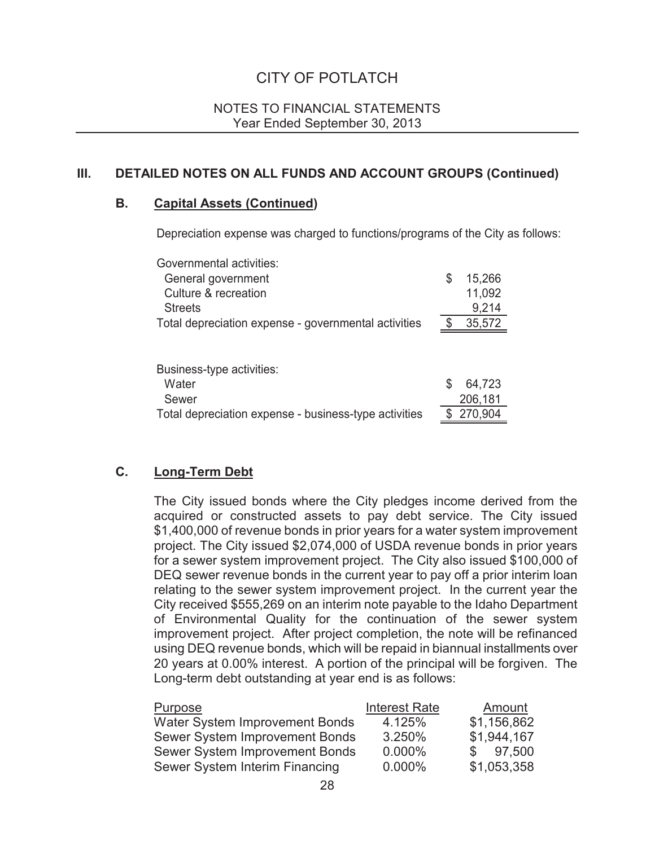#### NOTES TO FINANCIAL STATEMENTS Year Ended September 30, 2013

#### **III. DETAILED NOTES ON ALL FUNDS AND ACCOUNT GROUPS (Continued)**

#### **B. Capital Assets (Continued)**

Depreciation expense was charged to functions/programs of the City as follows:

| Governmental activities:                              |    |         |
|-------------------------------------------------------|----|---------|
| General government                                    | \$ | 15,266  |
| Culture & recreation                                  |    | 11,092  |
| <b>Streets</b>                                        |    | 9,214   |
| Total depreciation expense - governmental activities  |    | 35,572  |
|                                                       |    |         |
| Business-type activities:                             |    |         |
| Water                                                 | S  | 64,723  |
| Sewer                                                 |    | 206,181 |
| Total depreciation expense - business-type activities |    | 270,904 |

#### **C. Long-Term Debt**

The City issued bonds where the City pledges income derived from the acquired or constructed assets to pay debt service. The City issued \$1,400,000 of revenue bonds in prior years for a water system improvement project. The City issued \$2,074,000 of USDA revenue bonds in prior years for a sewer system improvement project. The City also issued \$100,000 of DEQ sewer revenue bonds in the current year to pay off a prior interim loan relating to the sewer system improvement project. In the current year the City received \$555,269 on an interim note payable to the Idaho Department of Environmental Quality for the continuation of the sewer system improvement project. After project completion, the note will be refinanced using DEQ revenue bonds, which will be repaid in biannual installments over 20 years at 0.00% interest. A portion of the principal will be forgiven. The Long-term debt outstanding at year end is as follows:

| Purpose                        | <b>Interest Rate</b> | Amount      |
|--------------------------------|----------------------|-------------|
| Water System Improvement Bonds | 4.125%               | \$1,156,862 |
| Sewer System Improvement Bonds | 3.250%               | \$1,944,167 |
| Sewer System Improvement Bonds | 0.000%               | \$97.500    |
| Sewer System Interim Financing | 0.000%               | \$1,053,358 |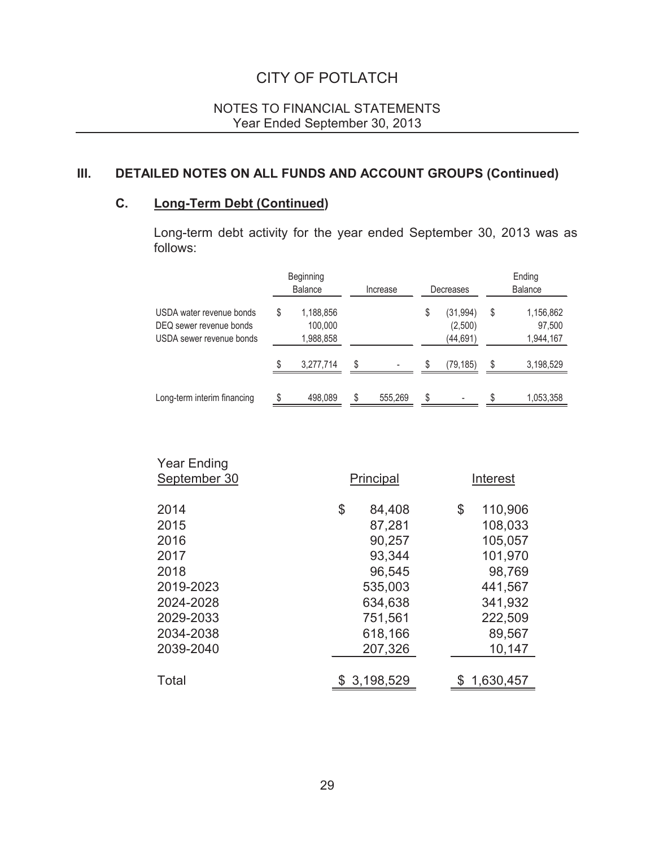#### NOTES TO FINANCIAL STATEMENTS Year Ended September 30, 2013

#### **III. DETAILED NOTES ON ALL FUNDS AND ACCOUNT GROUPS (Continued)**

#### **C. Long-Term Debt (Continued)**

Long-term debt activity for the year ended September 30, 2013 was as follows:

|                                                                                 | Beginning<br><b>Balance</b> |                                   | Decreases<br>Increase |         |                                         | Ending<br><b>Balance</b> |                                  |
|---------------------------------------------------------------------------------|-----------------------------|-----------------------------------|-----------------------|---------|-----------------------------------------|--------------------------|----------------------------------|
| USDA water revenue bonds<br>DEQ sewer revenue bonds<br>USDA sewer revenue bonds | S                           | 1,188,856<br>100,000<br>1,988,858 |                       |         | \$<br>(31, 994)<br>(2,500)<br>(44, 691) | \$                       | 1,156,862<br>97,500<br>1,944,167 |
|                                                                                 | \$                          | 3,277,714                         | S                     |         | (79, 185)                               |                          | 3,198,529                        |
| Long-term interim financing                                                     | \$                          | 498,089                           | S                     | 555,269 | \$                                      |                          | 1,053,358                        |

| <b>Year Ending</b><br>September 30 | Principal    | <b>Interest</b> |
|------------------------------------|--------------|-----------------|
| 2014                               | \$<br>84,408 | \$<br>110,906   |
| 2015                               | 87,281       | 108,033         |
| 2016                               | 90,257       | 105,057         |
| 2017                               | 93,344       | 101,970         |
| 2018                               | 96,545       | 98,769          |
| 2019-2023                          | 535,003      | 441,567         |
| 2024-2028                          | 634,638      | 341,932         |
| 2029-2033                          | 751,561      | 222,509         |
| 2034-2038                          | 618,166      | 89,567          |
| 2039-2040                          | 207,326      | 10,147          |
|                                    |              |                 |
| Total                              | \$3,198,529  | 1,630,457       |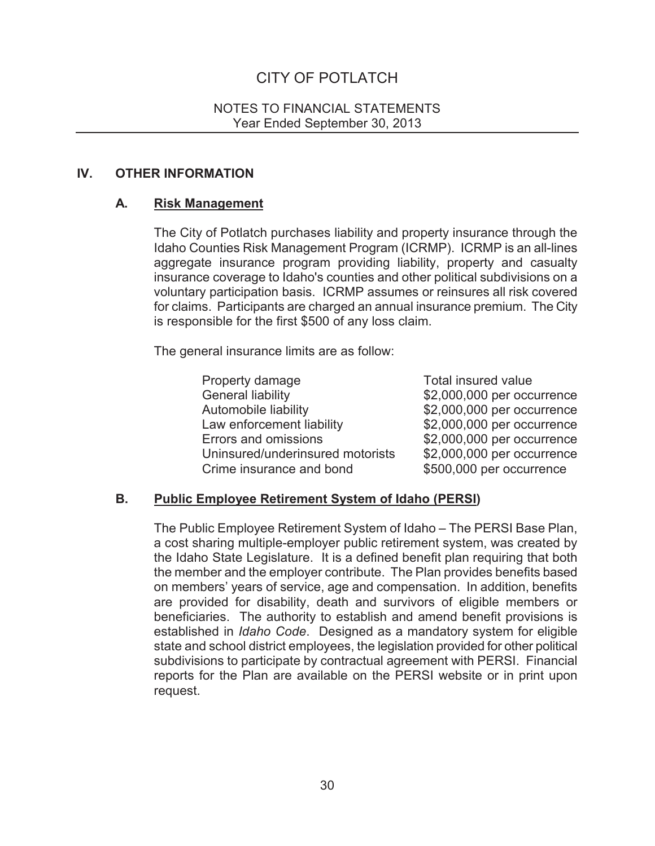#### NOTES TO FINANCIAL STATEMENTS Year Ended September 30, 2013

#### **IV. OTHER INFORMATION**

#### **A. Risk Management**

The City of Potlatch purchases liability and property insurance through the Idaho Counties Risk Management Program (ICRMP). ICRMP is an all-lines aggregate insurance program providing liability, property and casualty insurance coverage to Idaho's counties and other political subdivisions on a voluntary participation basis. ICRMP assumes or reinsures all risk covered for claims. Participants are charged an annual insurance premium. The City is responsible for the first \$500 of any loss claim.

The general insurance limits are as follow:

| Property damage                  |  |
|----------------------------------|--|
| General liability                |  |
| Automobile liability             |  |
| Law enforcement liability        |  |
| Errors and omissions             |  |
| Uninsured/underinsured motorists |  |
| Crime insurance and bond         |  |

Total insured value \$2,000,000 per occurrence \$2,000,000 per occurrence  $$2,000,000$  per occurrence  $$2,000,000$  per occurrence \$2,000,000 per occurrence \$500,000 per occurrence

#### **B. Public Employee Retirement System of Idaho (PERSI)**

The Public Employee Retirement System of Idaho – The PERSI Base Plan, a cost sharing multiple-employer public retirement system, was created by the Idaho State Legislature. It is a defined benefit plan requiring that both the member and the employer contribute. The Plan provides benefits based on members' years of service, age and compensation. In addition, benefits are provided for disability, death and survivors of eligible members or beneficiaries. The authority to establish and amend benefit provisions is established in *Idaho Code*. Designed as a mandatory system for eligible state and school district employees, the legislation provided for other political subdivisions to participate by contractual agreement with PERSI. Financial reports for the Plan are available on the PERSI website or in print upon request.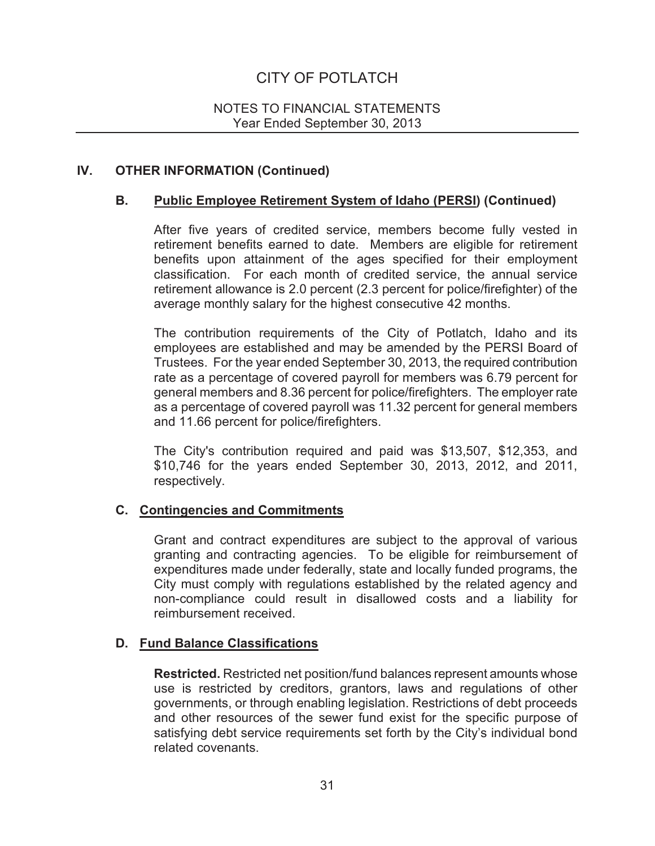#### NOTES TO FINANCIAL STATEMENTS Year Ended September 30, 2013

#### **IV. OTHER INFORMATION (Continued)**

#### **B. Public Employee Retirement System of Idaho (PERSI) (Continued)**

After five years of credited service, members become fully vested in retirement benefits earned to date. Members are eligible for retirement benefits upon attainment of the ages specified for their employment classification. For each month of credited service, the annual service retirement allowance is 2.0 percent (2.3 percent for police/firefighter) of the average monthly salary for the highest consecutive 42 months.

The contribution requirements of the City of Potlatch, Idaho and its employees are established and may be amended by the PERSI Board of Trustees. For the year ended September 30, 2013, the required contribution rate as a percentage of covered payroll for members was 6.79 percent for general members and 8.36 percent for police/firefighters. The employer rate as a percentage of covered payroll was 11.32 percent for general members and 11.66 percent for police/firefighters.

The City's contribution required and paid was \$13,507, \$12,353, and \$10,746 for the years ended September 30, 2013, 2012, and 2011, respectively.

#### **C. Contingencies and Commitments**

Grant and contract expenditures are subject to the approval of various granting and contracting agencies. To be eligible for reimbursement of expenditures made under federally, state and locally funded programs, the City must comply with regulations established by the related agency and non-compliance could result in disallowed costs and a liability for reimbursement received.

#### **D. Fund Balance Classifications**

**Restricted.** Restricted net position/fund balances represent amounts whose use is restricted by creditors, grantors, laws and regulations of other governments, or through enabling legislation. Restrictions of debt proceeds and other resources of the sewer fund exist for the specific purpose of satisfying debt service requirements set forth by the City's individual bond related covenants.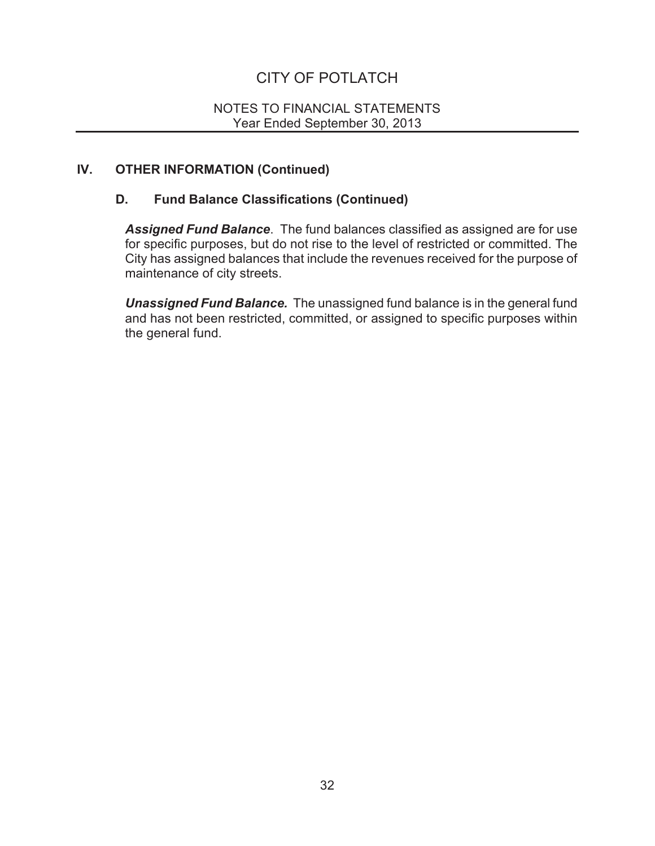#### NOTES TO FINANCIAL STATEMENTS Year Ended September 30, 2013

#### **IV. OTHER INFORMATION (Continued)**

#### **D. Fund Balance Classifications (Continued)**

*Assigned Fund Balance*. The fund balances classified as assigned are for use for specific purposes, but do not rise to the level of restricted or committed. The City has assigned balances that include the revenues received for the purpose of maintenance of city streets.

*Unassigned Fund Balance.* The unassigned fund balance is in the general fund and has not been restricted, committed, or assigned to specific purposes within the general fund.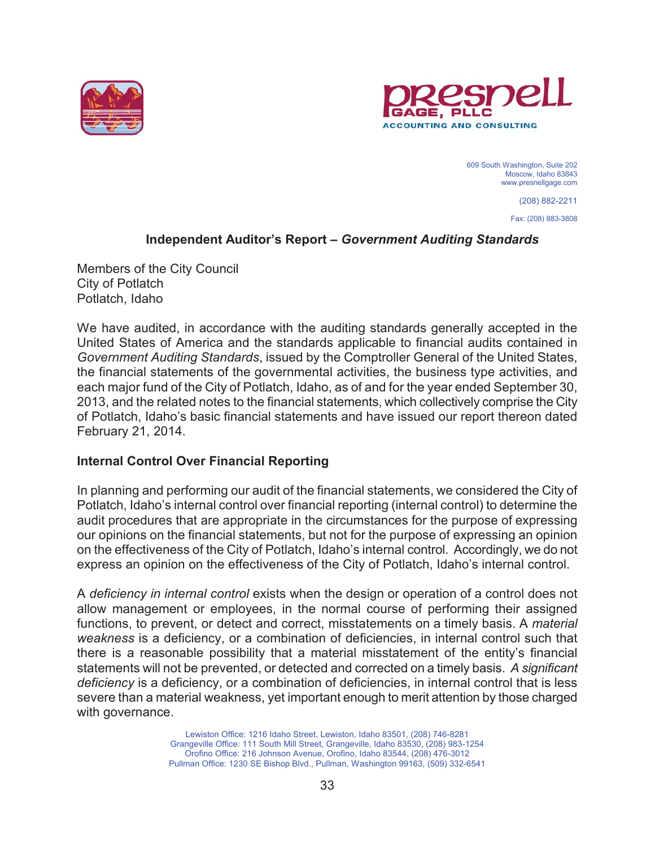



609 South Washington, Suite 202 Moscow, Idaho 83843 www.presnellgage.com

(208) 882-2211

Fax: (208) 883-3808

#### **Independent Auditor's Report –** *Government Auditing Standards*

Members of the City Council City of Potlatch Potlatch, Idaho

We have audited, in accordance with the auditing standards generally accepted in the United States of America and the standards applicable to financial audits contained in *Government Auditing Standards*, issued by the Comptroller General of the United States, the financial statements of the governmental activities, the business type activities, and each major fund of the City of Potlatch, Idaho, as of and for the year ended September 30, 2013, and the related notes to the financial statements, which collectively comprise the City of Potlatch, Idaho's basic financial statements and have issued our report thereon dated February 21, 2014.

#### **Internal Control Over Financial Reporting**

In planning and performing our audit of the financial statements, we considered the City of Potlatch, Idaho's internal control over financial reporting (internal control) to determine the audit procedures that are appropriate in the circumstances for the purpose of expressing our opinions on the financial statements, but not for the purpose of expressing an opinion on the effectiveness of the City of Potlatch, Idaho's internal control. Accordingly, we do not express an opinion on the effectiveness of the City of Potlatch, Idaho's internal control.

A *deficiency in internal control* exists when the design or operation of a control does not allow management or employees, in the normal course of performing their assigned functions, to prevent, or detect and correct, misstatements on a timely basis. A *material weakness* is a deficiency, or a combination of deficiencies, in internal control such that there is a reasonable possibility that a material misstatement of the entity's financial statements will not be prevented, or detected and corrected on a timely basis. *A significant deficiency* is a deficiency, or a combination of deficiencies, in internal control that is less severe than a material weakness, yet important enough to merit attention by those charged with governance.

> Lewiston Office: 1216 Idaho Street, Lewiston, Idaho 83501, (208) 746-8281 Grangeville Office: 111 South Mill Street, Grangeville, Idaho 83530, (208) 983-1254 Orofino Office: 216 Johnson Avenue, Orofino, Idaho 83544, (208) 476-3012 Pullman Office: 1230 SE Bishop Blvd., Pullman, Washington 99163, (509) 332-6541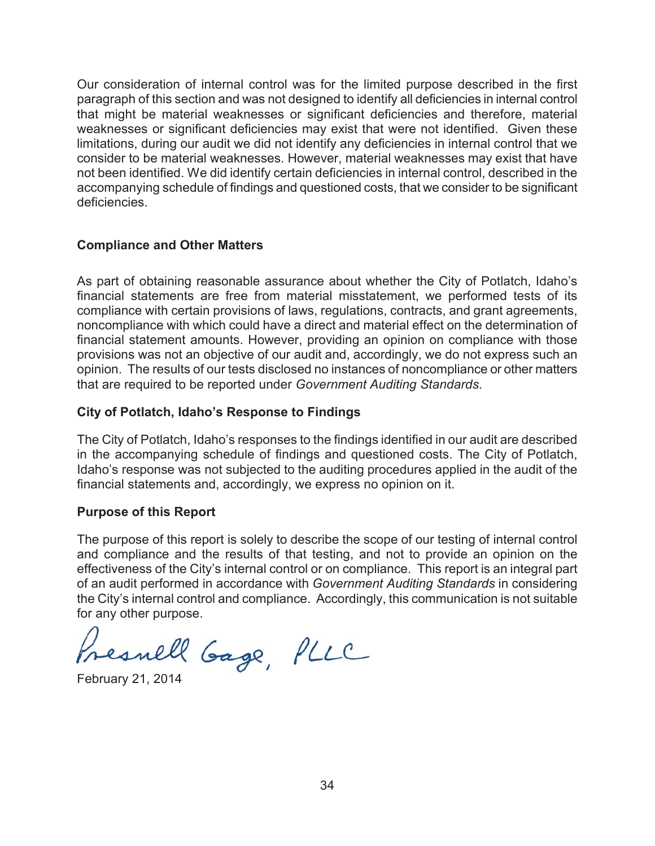Our consideration of internal control was for the limited purpose described in the first paragraph of this section and was not designed to identify all deficiencies in internal control that might be material weaknesses or significant deficiencies and therefore, material weaknesses or significant deficiencies may exist that were not identified. Given these limitations, during our audit we did not identify any deficiencies in internal control that we consider to be material weaknesses. However, material weaknesses may exist that have not been identified. We did identify certain deficiencies in internal control, described in the accompanying schedule of findings and questioned costs, that we consider to be significant deficiencies.

#### **Compliance and Other Matters**

As part of obtaining reasonable assurance about whether the City of Potlatch, Idaho's financial statements are free from material misstatement, we performed tests of its compliance with certain provisions of laws, regulations, contracts, and grant agreements, noncompliance with which could have a direct and material effect on the determination of financial statement amounts. However, providing an opinion on compliance with those provisions was not an objective of our audit and, accordingly, we do not express such an opinion. The results of our tests disclosed no instances of noncompliance or other matters that are required to be reported under *Government Auditing Standards*.

#### **City of Potlatch, Idaho's Response to Findings**

The City of Potlatch, Idaho's responses to the findings identified in our audit are described in the accompanying schedule of findings and questioned costs. The City of Potlatch, Idaho's response was not subjected to the auditing procedures applied in the audit of the financial statements and, accordingly, we express no opinion on it.

#### **Purpose of this Report**

The purpose of this report is solely to describe the scope of our testing of internal control and compliance and the results of that testing, and not to provide an opinion on the effectiveness of the City's internal control or on compliance. This report is an integral part of an audit performed in accordance with *Government Auditing Standards* in considering the City's internal control and compliance. Accordingly, this communication is not suitable for any other purpose.

nesnell Gage, PLLC

February 21, 2014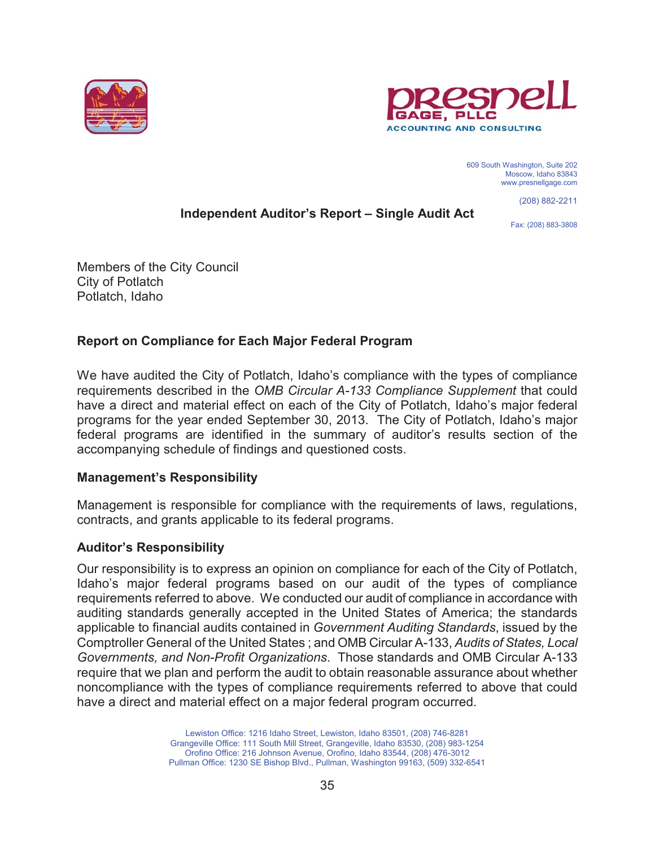



609 South Washington, Suite 202 Moscow, Idaho 83843 www.presnellgage.com

(208) 882-2211

#### **Independent Auditor's Report – Single Audit Act**

Fax: (208) 883-3808

Members of the City Council City of Potlatch Potlatch, Idaho

#### **Report on Compliance for Each Major Federal Program**

We have audited the City of Potlatch, Idaho's compliance with the types of compliance requirements described in the *OMB Circular A-133 Compliance Supplement* that could have a direct and material effect on each of the City of Potlatch, Idaho's major federal programs for the year ended September 30, 2013. The City of Potlatch, Idaho's major federal programs are identified in the summary of auditor's results section of the accompanying schedule of findings and questioned costs.

#### **Management's Responsibility**

Management is responsible for compliance with the requirements of laws, regulations, contracts, and grants applicable to its federal programs.

#### **Auditor's Responsibility**

Our responsibility is to express an opinion on compliance for each of the City of Potlatch, Idaho's major federal programs based on our audit of the types of compliance requirements referred to above. We conducted our audit of compliance in accordance with auditing standards generally accepted in the United States of America; the standards applicable to financial audits contained in *Government Auditing Standards*, issued by the Comptroller General of the United States ; and OMB Circular A-133, *Audits of States, Local Governments, and Non-Profit Organizations*. Those standards and OMB Circular A-133 require that we plan and perform the audit to obtain reasonable assurance about whether noncompliance with the types of compliance requirements referred to above that could have a direct and material effect on a major federal program occurred.

> Lewiston Office: 1216 Idaho Street, Lewiston, Idaho 83501, (208) 746-8281 Grangeville Office: 111 South Mill Street, Grangeville, Idaho 83530, (208) 983-1254 Orofino Office: 216 Johnson Avenue, Orofino, Idaho 83544, (208) 476-3012 Pullman Office: 1230 SE Bishop Blvd., Pullman, Washington 99163, (509) 332-6541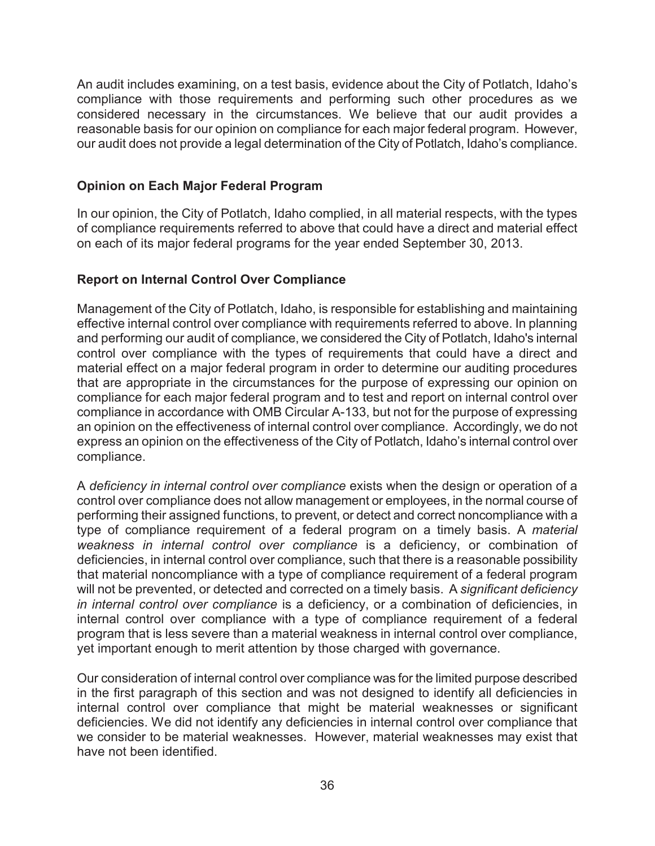An audit includes examining, on a test basis, evidence about the City of Potlatch, Idaho's compliance with those requirements and performing such other procedures as we considered necessary in the circumstances. We believe that our audit provides a reasonable basis for our opinion on compliance for each major federal program. However, our audit does not provide a legal determination of the City of Potlatch, Idaho's compliance.

#### **Opinion on Each Major Federal Program**

In our opinion, the City of Potlatch, Idaho complied, in all material respects, with the types of compliance requirements referred to above that could have a direct and material effect on each of its major federal programs for the year ended September 30, 2013.

#### **Report on Internal Control Over Compliance**

Management of the City of Potlatch, Idaho, is responsible for establishing and maintaining effective internal control over compliance with requirements referred to above. In planning and performing our audit of compliance, we considered the City of Potlatch, Idaho's internal control over compliance with the types of requirements that could have a direct and material effect on a major federal program in order to determine our auditing procedures that are appropriate in the circumstances for the purpose of expressing our opinion on compliance for each major federal program and to test and report on internal control over compliance in accordance with OMB Circular A-133, but not for the purpose of expressing an opinion on the effectiveness of internal control over compliance. Accordingly, we do not express an opinion on the effectiveness of the City of Potlatch, Idaho's internal control over compliance.

A *deficiency in internal control over compliance* exists when the design or operation of a control over compliance does not allow management or employees, in the normal course of performing their assigned functions, to prevent, or detect and correct noncompliance with a type of compliance requirement of a federal program on a timely basis. A *material weakness in internal control over compliance* is a deficiency, or combination of deficiencies, in internal control over compliance, such that there is a reasonable possibility that material noncompliance with a type of compliance requirement of a federal program will not be prevented, or detected and corrected on a timely basis. A *significant deficiency in internal control over compliance* is a deficiency, or a combination of deficiencies, in internal control over compliance with a type of compliance requirement of a federal program that is less severe than a material weakness in internal control over compliance, yet important enough to merit attention by those charged with governance.

Our consideration of internal control over compliance was for the limited purpose described in the first paragraph of this section and was not designed to identify all deficiencies in internal control over compliance that might be material weaknesses or significant deficiencies. We did not identify any deficiencies in internal control over compliance that we consider to be material weaknesses. However, material weaknesses may exist that have not been identified.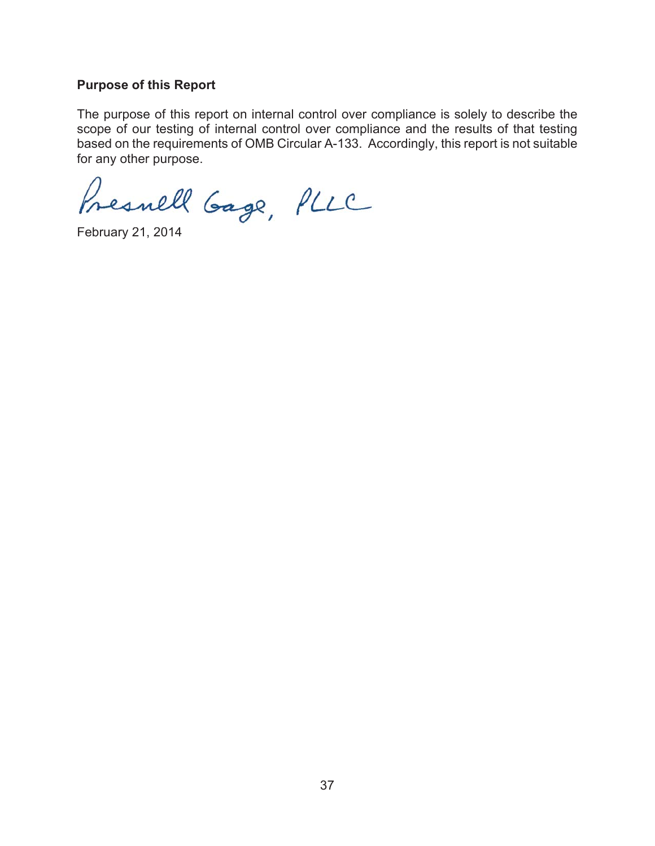#### **Purpose of this Report**

The purpose of this report on internal control over compliance is solely to describe the scope of our testing of internal control over compliance and the results of that testing based on the requirements of OMB Circular A-133. Accordingly, this report is not suitable for any other purpose.

Presnell Gage, PLLC

February 21, 2014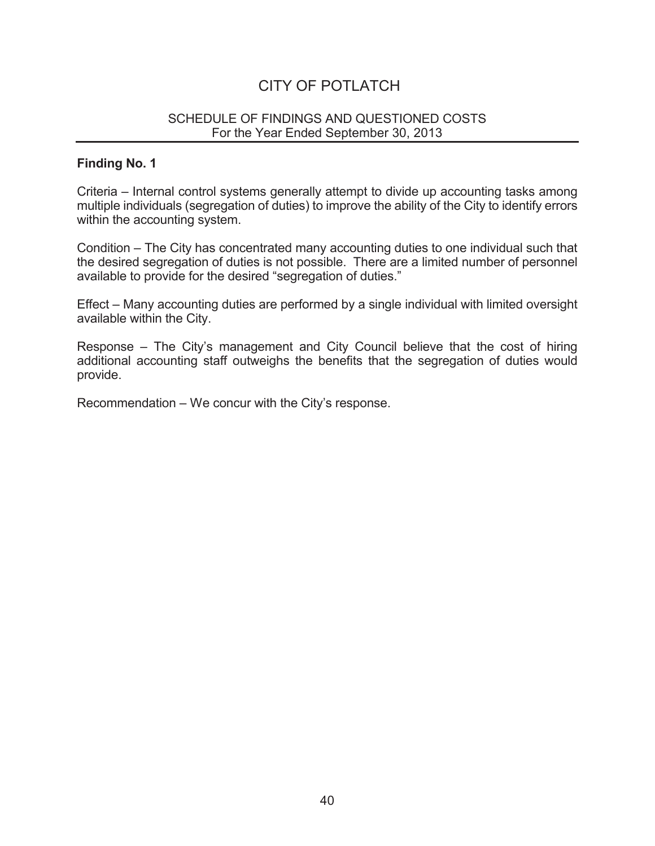#### SCHEDULE OF FINDINGS AND QUESTIONED COSTS For the Year Ended September 30, 2013

#### **Finding No. 1**

Criteria – Internal control systems generally attempt to divide up accounting tasks among multiple individuals (segregation of duties) to improve the ability of the City to identify errors within the accounting system.

Condition – The City has concentrated many accounting duties to one individual such that the desired segregation of duties is not possible. There are a limited number of personnel available to provide for the desired "segregation of duties."

Effect – Many accounting duties are performed by a single individual with limited oversight available within the City.

Response – The City's management and City Council believe that the cost of hiring additional accounting staff outweighs the benefits that the segregation of duties would provide.

Recommendation – We concur with the City's response.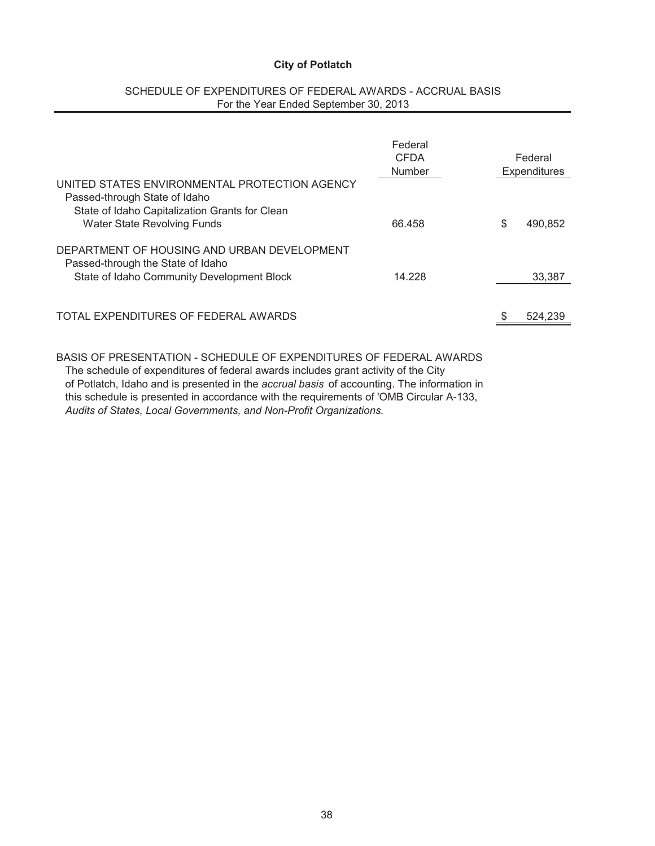#### **City of Potlatch**

#### SCHEDULE OF EXPENDITURES OF FEDERAL AWARDS - ACCRUAL BASIS For the Year Ended September 30, 2013

|                                                                                                                                                                        | Federal<br><b>CFDA</b><br>Number |   | Federal<br>Expenditures |
|------------------------------------------------------------------------------------------------------------------------------------------------------------------------|----------------------------------|---|-------------------------|
| UNITED STATES ENVIRONMENTAL PROTECTION AGENCY<br>Passed-through State of Idaho<br>State of Idaho Capitalization Grants for Clean<br><b>Water State Revolving Funds</b> | 66.458                           | S | 490.852                 |
| DEPARTMENT OF HOUSING AND URBAN DEVELOPMENT<br>Passed-through the State of Idaho<br>State of Idaho Community Development Block                                         | 14.228                           |   | 33,387                  |
| TOTAL EXPENDITURES OF FEDERAL AWARDS                                                                                                                                   |                                  |   | 524,239                 |
|                                                                                                                                                                        |                                  |   |                         |

BASIS OF PRESENTATION - SCHEDULE OF EXPENDITURES OF FEDERAL AWARDS The schedule of expenditures of federal awards includes grant activity of the City of Potlatch, Idaho and is presented in the *accrual basis* of accounting. The information in this schedule is presented in accordance with the requirements of 'OMB Circular A-133, *Audits of States, Local Governments, and Non-Profit Organizations.*